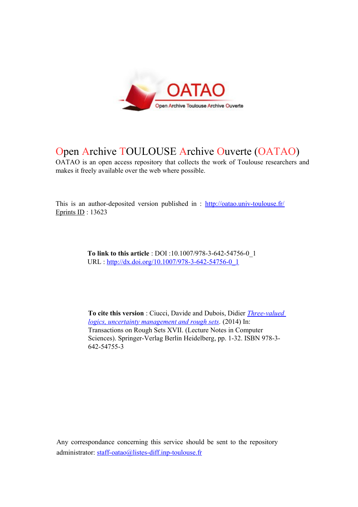

# Open Archive TOULOUSE Archive Ouverte (OATAO)

OATAO is an open access repository that collects the work of Toulouse researchers and makes it freely available over the web where possible.

This is an author-deposited version published in :<http://oatao.univ-toulouse.fr/> Eprints ID : 13623

> **To link to this article** : DOI :10.1007/978-3-642-54756-0\_1 URL : [http://dx.doi.org/10.1007/978-3-642-54756-0\\_1](http://dx.doi.org/10.1007/978-3-642-54756-0_1)

**To cite this version** : Ciucci, Davide and Dubois, Didier *[Three-valued](http://oatao.univ-toulouse.fr/13623/)  [logics, uncertainty management and rough sets.](http://oatao.univ-toulouse.fr/13623/)* (2014) In: Transactions on Rough Sets XVII. (Lecture Notes in Computer Sciences). Springer-Verlag Berlin Heidelberg, pp. 1-32. ISBN 978-3- 642-54755-3

Any correspondance concerning this service should be sent to the repository administrator: [staff-oatao@listes-diff.inp-toulouse.fr](mailto:staff-oatao@listes-diff.inp-toulouse.fr)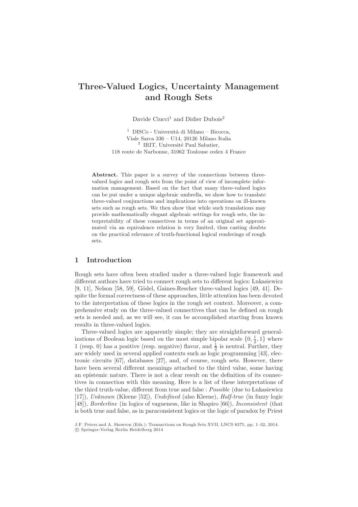## Three-Valued Logics, Uncertainty Management and Rough Sets

Davide Ciucci<sup>1</sup> and Didier Dubois<sup>2</sup>

 $^1$  DISCo - Università di Milano – Bicocca, Viale Sarca 336 – U14, 20126 Milano Italia <sup>2</sup> IRIT, Université Paul Sabatier, 118 route de Narbonne, 31062 Toulouse cedex 4 France

Abstract. This paper is a survey of the connections between threevalued logics and rough sets from the point of view of incomplete information management. Based on the fact that many three-valued logics can be put under a unique algebraic umbrella, we show how to translate three-valued conjunctions and implications into operations on ill-known sets such as rough sets. We then show that while such translations may provide mathematically elegant algebraic settings for rough sets, the interpretability of these connectives in terms of an original set approximated via an equivalence relation is very limited, thus casting doubts on the practical relevance of truth-functional logical renderings of rough sets.

## 1 Introduction

Rough sets have often been studied under a three-valued logic framework and different authors have tried to connect rough sets to different logics: Lukasiewicz  $[9, 11]$ , Nelson  $[58, 59]$ , Gödel, Gaines-Rescher three-valued logics  $[49, 41]$ . Despite the formal correctness of these approaches, little attention has been devoted to the interpretation of these logics in the rough set context. Moreover, a comprehensive study on the three-valued connectives that can be defined on rough sets is needed and, as we will see, it can be accomplished starting from known results in three-valued logics.

Three-valued logics are apparently simple; they are straightforward generalizations of Boolean logic based on the most simple bipolar scale  $\{0, \frac{1}{2}, 1\}$  where 1 (resp. 0) has a positive (resp. negative) flavor, and  $\frac{1}{2}$  is neutral. Further, they are widely used in several applied contexts such as logic programming [43], electronic circuits [67], databases [27], and, of course, rough sets. However, there have been several different meanings attached to the third value, some having an epistemic nature. There is not a clear result on the definition of its connectives in connection with this meaning. Here is a list of these interpretations of the third truth-value, different from true and false : Possible (due to Lukasiewicz [17]), Unknown (Kleene [52]), Undefined (also Kleene), Half-true (in fuzzy logic [48]), Borderline (in logics of vagueness, like in Shapiro [66]), Inconsistent (that is both true and false, as in paraconsistent logics or the logic of paradox by Priest

J.F. Peters and A. Skowron (Eds.): Transactions on Rough Sets XVII, LNCS 8375, pp. 1–32, 2014. -c Springer-Verlag Berlin Heidelberg 2014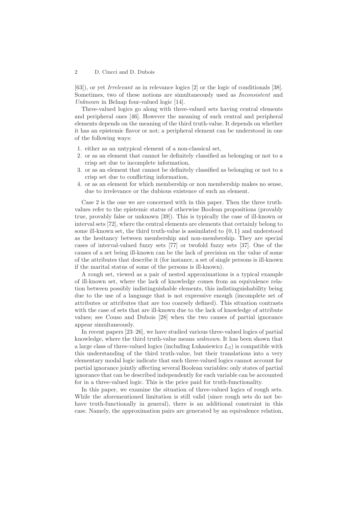[63]), or yet Irrelevant as in relevance logics [2] or the logic of conditionals [38]. Sometimes, two of these notions are simultaneously used as Inconsistent and Unknown in Belnap four-valued logic [14].

Three-valued logics go along with three-valued sets having central elements and peripheral ones [46]. However the meaning of such central and peripheral elements depends on the meaning of the third truth-value. It depends on whether it has an epistemic flavor or not; a peripheral element can be understood in one of the following ways:

- 1. either as an untypical element of a non-classical set,
- 2. or as an element that cannot be definitely classified as belonging or not to a crisp set due to incomplete information,
- 3. or as an element that cannot be definitely classified as belonging or not to a crisp set due to conflicting information,
- 4. or as an element for which membership or non membership makes no sense, due to irrelevance or the dubious existence of such an element.

Case 2 is the one we are concerned with in this paper. Then the three truthvalues refer to the epistemic status of otherwise Boolean propositions (provably true, provably false or unknown [39]). This is typically the case of ill-known or interval sets [72], where the central elements are elements that certainly belong to some ill-known set, the third truth-value is assimilated to  $\{0, 1\}$  and understood as the hesitancy between membership and non-membership. They are special cases of interval-valued fuzzy sets [77] or twofold fuzzy sets [37]. One of the causes of a set being ill-known can be the lack of precision on the value of some of the attributes that describe it (for instance, a set of single persons is ill-known if the marital status of some of the persons is ill-known).

A rough set, viewed as a pair of nested approximations is a typical example of ill-known set, where the lack of knowledge comes from an equivalence relation between possibly indistinguishable elements, this indistinguishability being due to the use of a language that is not expressive enough (incomplete set of attributes or attributes that are too coarsely defined). This situation contrasts with the case of sets that are ill-known due to the lack of knowledge of attribute values; see Couso and Dubois [28] when the two causes of partial ignorance appear simultaneously.

In recent papers [23–26], we have studied various three-valued logics of partial knowledge, where the third truth-value means unknown. It has been shown that a large class of three-valued logics (including Lukasiewicz  $L_3$ ) is compatible with this understanding of the third truth-value, but their translations into a very elementary modal logic indicate that such three-valued logics cannot account for partial ignorance jointly affecting several Boolean variables: only states of partial ignorance that can be described independently for each variable can be accounted for in a three-valued logic. This is the price paid for truth-functionality.

In this paper, we examine the situation of three-valued logics of rough sets. While the aforementioned limitation is still valid (since rough sets do not behave truth-functionally in general), there is an additional constraint in this case. Namely, the approximation pairs are generated by an equivalence relation,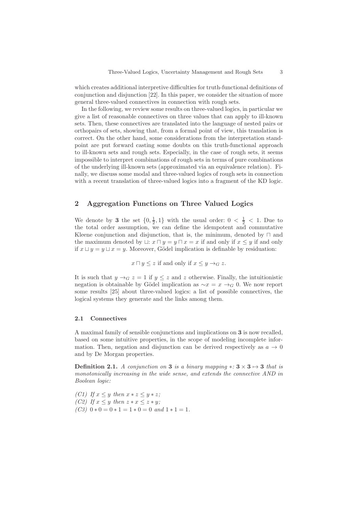which creates additional interpretive difficulties for truth-functional definitions of conjunction and disjunction [22]. In this paper, we consider the situation of more general three-valued connectives in connection with rough sets.

In the following, we review some results on three-valued logics, in particular we give a list of reasonable connectives on three values that can apply to ill-known sets. Then, these connectives are translated into the language of nested pairs or orthopairs of sets, showing that, from a formal point of view, this translation is correct. On the other hand, some considerations from the interpretation standpoint are put forward casting some doubts on this truth-functional approach to ill-known sets and rough sets. Especially, in the case of rough sets, it seems impossible to interpret combinations of rough sets in terms of pure combinations of the underlying ill-known sets (approximated via an equivalence relation). Finally, we discuss some modal and three-valued logics of rough sets in connection with a recent translation of three-valued logics into a fragment of the KD logic.

## 2 Aggregation Functions on Three Valued Logics

We denote by 3 the set  $\{0, \frac{1}{2}, 1\}$  with the usual order:  $0 < \frac{1}{2} < 1$ . Due to the total order assumption, we can define the idempotent and commutative Kleene conjunction and disjunction, that is, the minimum, denoted by  $\Box$  and the maximum denoted by  $\sqcup: x \sqcap y = y \sqcap x = x$  if and only if  $x \leq y$  if and only if  $x \sqcup y = y \sqcup x = y$ . Moreover, Gödel implication is definable by residuation:

 $x \sqcap y \leq z$  if and only if  $x \leq y \rightarrow_G z$ .

It is such that  $y \rightarrow_G z = 1$  if  $y \leq z$  and z otherwise. Finally, the intuitionistic negation is obtainable by Gödel implication as  $\sim x = x \rightarrow_G 0$ . We now report some results [25] about three-valued logics: a list of possible connectives, the logical systems they generate and the links among them.

#### 2.1 Connectives

A maximal family of sensible conjunctions and implications on 3 is now recalled, based on some intuitive properties, in the scope of modeling incomplete information. Then, negation and disjunction can be derived respectively as  $a \rightarrow 0$ and by De Morgan properties.

**Definition 2.1.** A conjunction on 3 is a binary mapping  $\ast: 3 \times 3 \mapsto 3$  that is monotonically increasing in the wide sense, and extends the connective AND in Boolean logic:

(C1) If  $x \leq y$  then  $x * z \leq y * z$ ; (C2) If  $x \leq y$  then  $z * x \leq z * y$ ;  $(C3)$   $0 * 0 = 0 * 1 = 1 * 0 = 0$  and  $1 * 1 = 1$ .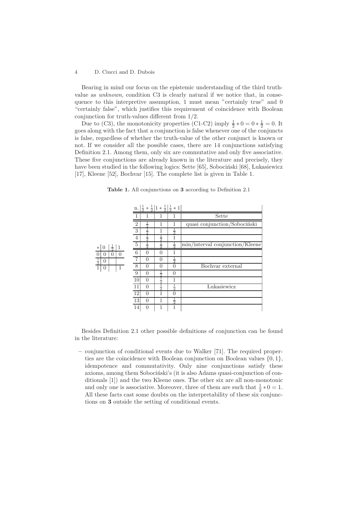Bearing in mind our focus on the epistemic understanding of the third truthvalue as unknown, condition C3 is clearly natural if we notice that, in consequence to this interpretive assumption, 1 must mean "certainly true" and 0 "certainly false", which justifies this requirement of coincidence with Boolean conjunction for truth-values different from 1/2.

Due to (C3), the monotonicity properties (C1-C2) imply  $\frac{1}{2} * 0 = 0 * \frac{1}{2} = 0$ . It goes along with the fact that a conjunction is false whenever one of the conjuncts is false, regardless of whether the truth-value of the other conjunct is known or not. If we consider all the possible cases, there are 14 conjunctions satisfying Definition 2.1. Among them, only six are commutative and only five associative. These five conjunctions are already known in the literature and precisely, they have been studied in the following logics: Sette  $[65]$ , Sobocinski  $[68]$ , Lukasiewicz [17], Kleene [52], Bochvar [15]. The complete list is given in Table 1.

Table 1. All conjunctions on 3 according to Definition 2.1

|                                                    |                | $n.\left \frac{1}{2}*\frac{1}{2}\right 1*\frac{1}{2}\left \frac{1}{2}*1\right $ |                    |                |                                 |
|----------------------------------------------------|----------------|---------------------------------------------------------------------------------|--------------------|----------------|---------------------------------|
|                                                    | 1              | 1                                                                               | 1                  |                | Sette                           |
|                                                    | $\overline{2}$ | $\overline{2}$                                                                  |                    |                | quasi conjunction/Sobociński    |
|                                                    | 3              | $\overline{2}$                                                                  | 1                  | $\frac{1}{2}$  |                                 |
|                                                    | $\overline{4}$ | $\overline{2}$                                                                  | $\overline{2}$     |                |                                 |
| $\frac{1}{2}$<br>1<br>$\overline{0}$<br>$\ast$     | 5              | $\overline{2}$                                                                  | $\overline{\circ}$ | $\frac{1}{2}$  | min/interval conjunction/Kleene |
| $\theta$<br>$\overline{0}$<br>$\theta$<br>$\theta$ | 6              | $\Omega$                                                                        | $\Omega$           |                |                                 |
| $rac{1}{2}$<br>$\theta$                            | 7              | $\Omega$                                                                        | $\Omega$           | $\overline{2}$ |                                 |
| 1<br>1<br>$\theta$                                 | 8              | 0                                                                               | 0                  | $\Omega$       | Bochvar external                |
|                                                    | 9              | $\Omega$                                                                        | 층                  | $\Omega$       |                                 |
|                                                    | 10             | $\theta$                                                                        | $\overline{2}$     | 1              |                                 |
|                                                    | 11             | $\overline{0}$                                                                  | $\overline{\circ}$ | $\overline{2}$ | Lukasiewicz                     |
|                                                    | 12             | $\Omega$                                                                        |                    | $\Omega$       |                                 |
|                                                    | 13             | $\Omega$                                                                        | 1                  | $\frac{1}{2}$  |                                 |
|                                                    | 14             | $\Omega$                                                                        | 1                  | 1              |                                 |

Besides Definition 2.1 other possible definitions of conjunction can be found in the literature:

– conjunction of conditional events due to Walker [71]. The required properties are the coincidence with Boolean conjunction on Boolean values  $\{0, 1\}$ , idempotence and commutativity. Only nine conjunctions satisfy these axioms, among them Sobociński's (it is also Adams quasi-conjunction of conditionals [1]) and the two Kleene ones. The other six are all non-monotonic and only one is associative. Moreover, three of them are such that  $\frac{1}{2} * 0 = 1$ . All these facts cast some doubts on the interpretability of these six conjunctions on 3 outside the setting of conditional events.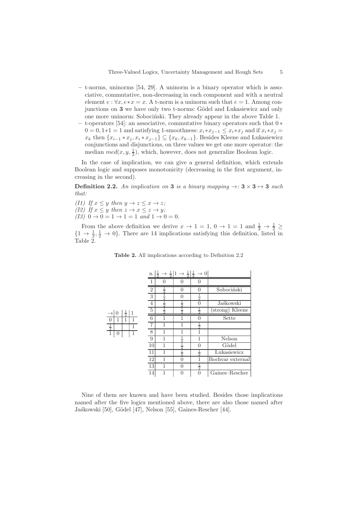- $-$  t-norms, uninorms [54, 29]. A uninorm is a binary operator which is associative, commutative, non-decreasing in each component and with a neutral element  $e : \forall x, e \cdot x = x$ . A t-norm is a uninorm such that  $e = 1$ . Among conjunctions on 3 we have only two t-norms: Gödel and Lukasiewicz and only one more uninorm: Sobociński. They already appear in the above Table 1.
- $-$  t-operators [54]: an associative, commutative binary operators such that  $0 *$  $0 = 0, 1*1 = 1$  and satisfying 1-smoothness:  $x_i * x_{j-1} \leq x_i * x_j$  and if  $x_i * x_j =$  $x_k$  then  $\{x_{i-1} * x_j, x_i * x_{j-1}\} \subseteq \{x_k, x_{k-1}\}.$  Besides Kleene and Lukasiewicz conjunctions and disjunctions, on three values we get one more operator: the median  $med(x, y, \frac{1}{2})$ , which, however, does not generalize Boolean logic.

In the case of implication, we can give a general definition, which extends Boolean logic and supposes monotonicity (decreasing in the first argument, increasing in the second).

**Definition 2.2.** An implication on 3 is a binary mapping  $\rightarrow$ :  $3 \times 3 \rightarrow 3$  such that:

(I1) If  $x \leq y$  then  $y \to z \leq x \to z$ ; (I2) If  $x \leq y$  then  $z \to x \leq z \to y$ ; (I3)  $0 \to 0 = 1 \to 1 = 1$  and  $1 \to 0 = 0$ .

From the above definition we derive  $x \to 1 = 1, 0 \to 1 = 1$  and  $\frac{1}{2} \to \frac{1}{2} \ge$  $\{1 \to \frac{1}{2}, \frac{1}{2} \to 0\}$ . There are 14 implications satisfying this definition, listed in Table 2.

Table 2. All implications according to Definition 2.2

|                                      | n.             | $\frac{1}{2}$    |                | $\frac{1}{2}$  |                  |
|--------------------------------------|----------------|------------------|----------------|----------------|------------------|
|                                      | $\mathbf{1}$   | $\left( \right)$ | $\Omega$       | 0              |                  |
|                                      | $\sqrt{2}$     |                  | $\Omega$       | $\Omega$       | Sobociński       |
|                                      | 3              | $\overline{2}$   | 0              | $\frac{1}{2}$  |                  |
|                                      | $\overline{4}$ | $\overline{2}$   | $\bar{2}$      | $\Omega$       | Jaśkowski        |
| $\overline{0}$<br>1<br>$\frac{1}{2}$ | $\bf 5$        | 5                | $\frac{1}{2}$  | $\bar{2}$      | (strong) Kleene  |
| $\overline{0}$<br>1<br>1<br>1        | $\!6\,$        | 1                | 1              | $\Omega$       | Sette            |
| $\frac{1}{2}$<br>1                   | 7              |                  | 1              | $\overline{2}$ |                  |
| 1<br>1<br>0                          | 8              |                  | 1              | 1              |                  |
|                                      | 9              | 1                | $\frac{1}{2}$  | 1              | Nelson           |
|                                      | 10             | 1                | $\frac{1}{2}$  | $\Omega$       | Gödel            |
|                                      | 11             | 1                | $\frac{1}{2}$  | $\frac{1}{2}$  | Lukasiewicz      |
|                                      | 12             | 1                | 0              | 1              | Bochvar external |
|                                      | 13             |                  | $\Omega$       | $\bar{2}$      |                  |
|                                      | 14             |                  | $\overline{0}$ | $\Omega$       | Gaines-Rescher   |

Nine of them are known and have been studied. Besides those implications named after the five logics mentioned above, there are also those named after Jaskowski [50], Gödel [47], Nelson [55], Gaines-Rescher [44].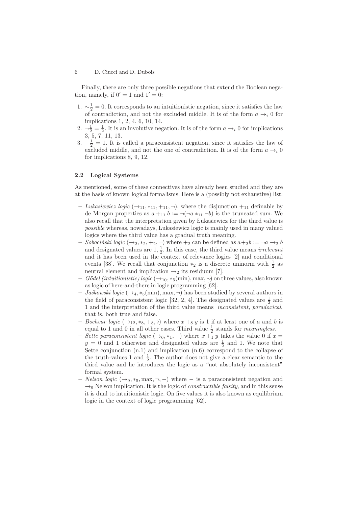Finally, there are only three possible negations that extend the Boolean negation, namely, if  $0' = 1$  and  $1' = 0$ :

- 1.  $\sim \frac{1}{2} = 0$ . It corresponds to an intuitionistic negation, since it satisfies the law of contradiction, and not the excluded middle. It is of the form  $a \rightarrow_i 0$  for implications 1, 2, 4, 6, 10, 14.
- 2.  $\neg \frac{1}{2} = \frac{1}{2}$ . It is an involutive negation. It is of the form  $a \rightarrow_i 0$  for implications 3, 5, 7, 11, 13.
- 3.  $-\frac{1}{2} = 1$ . It is called a paraconsistent negation, since it satisfies the law of excluded middle, and not the one of contradiction. It is of the form  $a \rightarrow i 0$ for implications 8, 9, 12.

## 2.2 Logical Systems

As mentioned, some of these connectives have already been studied and they are at the basis of known logical formalisms. Here is a (possibly not exhaustive) list:

- Lukasiewicz logic  $(\rightarrow_{11}, \ast_{11}, \rightarrow)$ , where the disjunction  $+\_1$  definable by de Morgan properties as  $a +_{11} b := \neg(\neg a *_{11} \neg b)$  is the truncated sum. We also recall that the interpretation given by Lukasiewicz for the third value is possible whereas, nowadays, Lukasiewicz logic is mainly used in many valued logics where the third value has a gradual truth meaning.
- Sobociński logic ( $\rightarrow_2, *_2, +_2, \rightarrow$ ) where  $+_2$  can be defined as  $a+_2b := \neg a \rightarrow_2 b$ and designated values are  $1, \frac{1}{2}$ . In this case, the third value means *irrelevant* and it has been used in the context of relevance logics [2] and conditional events [38]. We recall that conjunction  $*_2$  is a discrete uninorm with  $\frac{1}{2}$  as neutral element and implication  $\rightarrow_2$  its residuum [7].
- Gödel (intuitionistic) logic (→<sub>10</sub>, ∗<sub>5</sub>(min), max, ∼) on three values, also known as logic of here-and-there in logic programming [62].
- Jaskowski logic ( $\rightarrow_4$ , \*5(min), max,  $\neg$ ) has been studied by several authors in the field of paraconsistent logic [32, 2, 4]. The designated values are  $\frac{1}{2}$  and 1 and the interpretation of the third value means inconsistent, paradoxical, that is, both true and false.
- Bochvar logic  $(\rightarrow_{12}, *_{8}, +_{8}, b)$  where  $x +_{8} y$  is 1 if at least one of a and b is equal to 1 and 0 in all other cases. Third value  $\frac{1}{2}$  stands for *meaningless*.
- Sette paraconsistent logic (→6,  $*_1$ , –) where  $x +_1 y$  takes the value 0 if  $x =$  $y = 0$  and 1 otherwise and designated values are  $\frac{1}{2}$  and 1. We note that Sette conjunction (n.1) and implication (n.6) correspond to the collapse of the truth-values 1 and  $\frac{1}{2}$ . The author does not give a clear semantic to the third value and he introduces the logic as a "not absolutely inconsistent" formal system.
- Nelson logic  $(\rightarrow_9, *_5, \text{max}, \neg, -)$  where is a paraconsistent negation and  $\rightarrow$ 9 Nelson implication. It is the logic of *constructible falsity*, and in this sense it is dual to intuitionistic logic. On five values it is also known as equilibrium logic in the context of logic programming [62].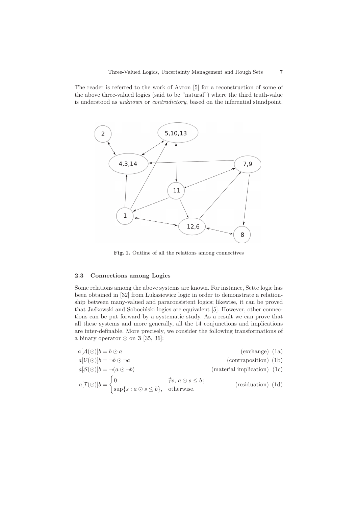The reader is referred to the work of Avron [5] for a reconstruction of some of the above three-valued logics (said to be "natural") where the third truth-value is understood as unknown or contradictory, based on the inferential standpoint.



Fig. 1. Outline of all the relations among connectives

## 2.3 Connections among Logics

Some relations among the above systems are known. For instance, Sette logic has been obtained in [32] from Lukasiewicz logic in order to demonstrate a relationship between many-valued and paraconsistent logics; likewise, it can be proved that Jaskowski and Sobociński logics are equivalent [5]. However, other connections can be put forward by a systematic study. As a result we can prove that all these systems and more generally, all the 14 conjunctions and implications are inter-definable. More precisely, we consider the following transformations of a binary operator  $\odot$  on **3** [35, 36]:

| $a[\mathcal{A}(\bigcirc)]b = b \bigcirc a$                                                                                                                                |                                 | $(exchange)$ $(1a)$         |  |
|---------------------------------------------------------------------------------------------------------------------------------------------------------------------------|---------------------------------|-----------------------------|--|
| $a[\mathcal{V}(\odot)]b = \neg b \odot \neg a$                                                                                                                            |                                 | $(contraposition)$ (1b)     |  |
| $a[S(\odot)]b = \neg(a \odot \neg b)$                                                                                                                                     |                                 | (material implication) (1c) |  |
| $a[\mathcal{I}(\odot)]b = \begin{cases} 0 & \text{ps, } u \circlearrowright \circ \_ \circlearrowleft . \\ \sup\{s : a \odot s \leq b\}, & \text{otherwise.} \end{cases}$ | $\nexists s, a \odot s \leq b;$ | $(residuation)$ $(1d)$      |  |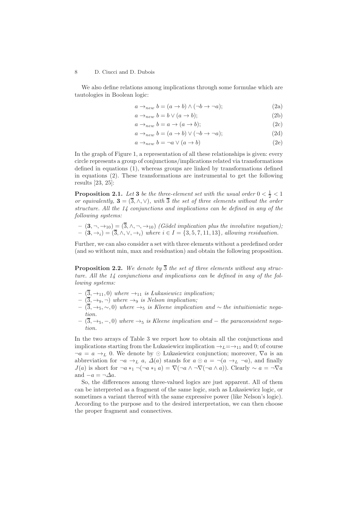We also define relations among implications through some formulae which are tautologies in Boolean logic:

$$
a \to_{new} b = (a \to b) \land (\neg b \to \neg a); \tag{2a}
$$

$$
a \to_{new} b = b \lor (a \to b); \tag{2b}
$$

 $a \rightarrow_{new} b = a \rightarrow (a \rightarrow b);$  (2c)

$$
a \to_{new} b = (a \to b) \lor (\neg b \to \neg a); \tag{2d}
$$

$$
a \to_{new} b = \neg a \lor (a \to b) \tag{2e}
$$

In the graph of Figure 1, a representation of all these relationships is given: every circle represents a group of conjunctions/implications related via transformations defined in equations (1), whereas groups are linked by transformations defined in equations (2). These transformations are instrumental to get the following results [23, 25]:

**Proposition 2.1.** Let 3 be the three-element set with the usual order  $0 < \frac{1}{2} < 1$ or equivalently,  $\mathbf{3} = (\overline{3}, \wedge, \vee)$ , with  $\overline{3}$  the set of three elements without the order structure. All the 14 conjunctions and implications can be defined in any of the following systems:

$$
- (3, \neg, \rightarrow_{10}) = (\overline{3}, \wedge, \neg, \rightarrow_{10})
$$
 (Gödel implication plus the involutive negation);  

$$
- (3, \rightarrow_{i}) = (\overline{3}, \wedge, \vee, \rightarrow_{i})
$$
 where  $i \in I = \{3, 5, 7, 11, 13\}$ , allowing residuation.

Further, we can also consider a set with three elements without a predefined order (and so without min, max and residuation) and obtain the following proposition.

**Proposition 2.2.** We denote by  $\overline{3}$  the set of three elements without any structure. All the 14 conjunctions and implications can be defined in any of the following systems:

- $(\overline{3}, \rightarrow_{11}, 0)$  where  $\rightarrow_{11}$  is Lukasiewicz implication;
- $(\overline{3}, \rightarrow_9, \neg)$  where  $\rightarrow_9$  is Nelson implication;
- (3, →5, ∼, 0) where →<sup>5</sup> is Kleene implication and ∼ the intuitionistic negation.
- $-$  (3, →5, –, 0) where →5 is Kleene implication and the paraconsistent negation.

In the two arrays of Table 3 we report how to obtain all the conjunctions and implications starting from the Lukasiewicz implication  $\rightarrow_L=\rightarrow_{11}$  and 0; of course  $\neg a = a \rightarrow_L 0$ . We denote by  $\odot$  Lukasiewicz conjunction; moreover,  $\nabla a$  is an abbreviation for  $\neg a \rightarrow_L a$ ,  $\Delta(a)$  stands for  $a \odot a = \neg (a \rightarrow_L \neg a)$ , and finally  $J(a)$  is short for  $\neg a *_1 \neg(\neg a *_1 a) = \nabla(\neg a \wedge \neg \nabla(\neg a \wedge a))$ . Clearly  $\sim a = \neg \nabla a$ and  $-a = \neg \Delta a$ .

So, the differences among three-valued logics are just apparent. All of them can be interpreted as a fragment of the same logic, such as Lukasiewicz logic, or sometimes a variant thereof with the same expressive power (like Nelson's logic). According to the purpose and to the desired interpretation, we can then choose the proper fragment and connectives.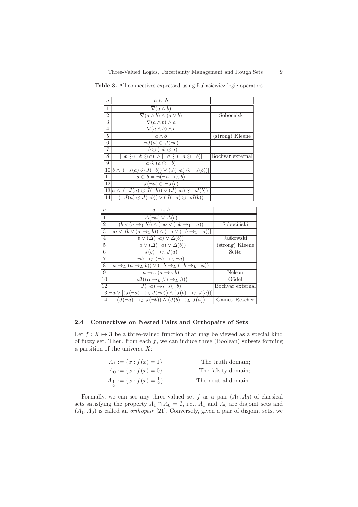| $\it n$          | $a *_{n} b$                                                                                                                                                 |                  |
|------------------|-------------------------------------------------------------------------------------------------------------------------------------------------------------|------------------|
| 1                | $\nabla(a\wedge b)$                                                                                                                                         |                  |
| $\overline{2}$   | $\nabla(a\wedge b)\wedge(a\vee b)$                                                                                                                          | Sobociński       |
| $\overline{3}$   | $\nabla(a\wedge b)\wedge a$                                                                                                                                 |                  |
| $\overline{4}$   | $\nabla(a\wedge b)\wedge b$                                                                                                                                 |                  |
| $\overline{5}$   | $a \wedge b$                                                                                                                                                | (strong) Kleene  |
| $\overline{6}$   | $\overline{\neg J(a)} \odot J(\neg b)$                                                                                                                      |                  |
| $\overline{7}$   | $\overline{\neg b \odot (\neg b \odot a)}$                                                                                                                  |                  |
| $\overline{8}$   | $\lceil \neg b \odot (\neg b \odot a) \rceil \wedge \lceil \neg a \odot (\neg a \odot \neg b) \rceil$                                                       | Bochvar external |
| $\overline{9}$   | $a \odot (a \odot \neg b)$                                                                                                                                  |                  |
| 10               | $b \wedge [(\neg J(a) \odot \overline{J(\neg b)}) \vee (\overline{J}(\neg a) \odot \neg J(b))]$                                                             |                  |
| $\overline{11}$  | $a \odot b = \neg(\neg a \rightarrow_L b)$                                                                                                                  |                  |
|                  | 12<br>$J(\neg a) \odot \neg J(b)$                                                                                                                           |                  |
|                  | $13[a \wedge [(\neg J(a) \odot J(\neg b)) \vee (J(\neg a) \odot \neg J(b))]$                                                                                |                  |
|                  | $\overline{(\neg J(a)\odot J(\neg b))\vee(J(\neg a)\odot\neg J(b))}$<br>14                                                                                  |                  |
|                  |                                                                                                                                                             |                  |
|                  |                                                                                                                                                             |                  |
| $\boldsymbol{n}$ | $a \rightarrow_n b$                                                                                                                                         |                  |
| $\overline{1}$   | $\overline{\Delta(\neg a) \vee \Delta(b)}$                                                                                                                  |                  |
| $\overline{2}$   | $(b \vee (a \rightarrow_1 b)) \wedge (\neg a \vee (\neg b \rightarrow_1 \neg a))$                                                                           | Sobociński       |
| $\overline{3}$   | $\neg a \vee [(b \vee \overline{(a \rightarrow_1 b)}) \wedge (\neg a \vee (\neg b \rightarrow_1 \neg a))]$                                                  |                  |
| $\overline{4}$   | $b \vee (\Delta(\neg a) \vee \Delta(b))$                                                                                                                    | Jaśkowski        |
| $\overline{5}$   | $\neg a \vee (\triangle(\neg a) \vee \triangle(b))$                                                                                                         | (strong) Kleene  |
| $\overline{6}$   | $J(b) \rightarrow_L J(a)$                                                                                                                                   | Sette            |
| $\overline{7}$   | $\neg b \rightarrow_L (\neg b \rightarrow_L \neg a)$                                                                                                        |                  |
| 8                | $(a \rightarrow_L (a \rightarrow_L b)) \vee (\neg b \rightarrow_L (\neg b \rightarrow_L \neg a))$                                                           |                  |
| $\overline{9}$   | $a \rightarrow_L (a \rightarrow_L b)$                                                                                                                       | Nelson           |
| 10               | $\neg \Delta((\alpha \rightarrow_L \beta) \rightarrow_L \beta))$                                                                                            | Gödel            |
| 12               | $\overline{J(\neg a) \to_L} J(\neg b)$                                                                                                                      | Bochvar external |
| 13               | $\lnot a \vee [(J(\lnot a) \rightarrow_L J(\lnot b)) \wedge (J(b) \rightarrow_L J(a))]$<br>$\overline{(J(\neg a) \to_L J(\neg b)) \land (J(b) \to_L J(a))}$ | Gaines-Rescher   |

Table 3. All connectives expressed using Lukasiewicz logic operators

## 2.4 Connectives on Nested Pairs and Orthopairs of Sets

Let  $f: X \mapsto 3$  be a three-valued function that may be viewed as a special kind of fuzzy set. Then, from each  $f$ , we can induce three (Boolean) subsets forming a partition of the universe  $X$ :

| $A_1 := \{x : f(x) = 1\}$            | The truth domain;   |
|--------------------------------------|---------------------|
| $A_0 := \{x : f(x) = 0\}$            | The falsity domain; |
| $A_1 := \{x : f(x) = \frac{1}{2}\}\$ | The neutral domain. |

Formally, we can see any three-valued set f as a pair  $(A_1, A_0)$  of classical sets satisfying the property  $A_1 \cap A_0 = \emptyset$ , i.e.,  $A_1$  and  $A_0$  are disjoint sets and  $(A_1, A_0)$  is called an *orthopair* [21]. Conversely, given a pair of disjoint sets, we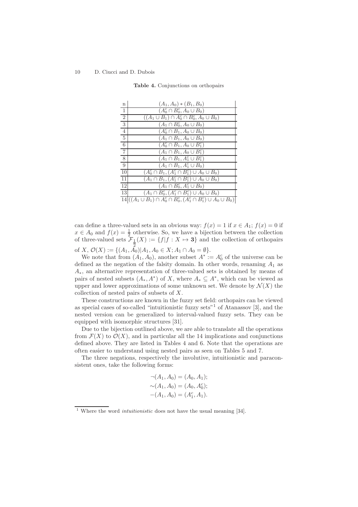| $\mathbf n$     | $(A_1, A_0) * (B_1, B_0)$                                                         |
|-----------------|-----------------------------------------------------------------------------------|
| 1               | $(A_0^c \cap B_0^c, A_0 \cup B_0)$                                                |
| $\overline{2}$  | $((A_1 \cup B_1) \cap A_0^c \cap B_0^c, A_0 \cup B_0)$                            |
| $\overline{3}$  | $(A_1 \cap B_0^c, A_0 \cup B_0)$                                                  |
| $\overline{4}$  | $(A_0^c \cap B_1, A_0 \cup B_0)$                                                  |
| $\overline{5}$  | $(A_1 \cap B_1, A_0 \cup B_0)$                                                    |
| 6               | $(A_0^c \cap B_1, A_0 \cup B_1^c)$                                                |
| $\overline{7}$  | $(A_1 \cap B_1, A_0 \cup B_1^c)$                                                  |
| 8               | $(A_1 \cap B_1, A_1^c \cup B_1^c)$                                                |
| 9               | $(A_1 \cap B_1, A_1^c \cup B_0)$                                                  |
| 10              | $(A_0^c \cap B_1, (A_1^c \cap \overline{B_1^c}) \cup A_0 \cup B_0)$               |
| $\overline{11}$ | $(A_1 \cap B_1, (A_1^c \cap B_1^c) \cup A_0 \cup B_0)$                            |
| 12              | $(A_1 \cap B_0^c, A_1^c \cup B_0)$                                                |
| $\overline{13}$ | $(A_1 \cap B_0^c, (A_1^c \cap \overline{B_1^c}) \cup A_0 \cup B_0)$               |
|                 | $14((A_1 \cup B_1) \cap A_0^c \cap B_0^c, (A_1^c \cap B_1^c) \cup A_0 \cup B_0))$ |

Table 4. Conjunctions on orthopairs

can define a three-valued sets in an obvious way:  $f(x) = 1$  if  $x \in A_1$ ;  $f(x) = 0$  if  $x \in A_0$  and  $f(x) = \frac{1}{2}$  otherwise. So, we have a bijection between the collection of three-valued sets  $\mathcal{F}_{\mathbf{1}}(X) := \{f | f : X \mapsto \mathbf{3}\}\$ and the collection of orthopairs of  $X, \mathcal{O}(X) := \{(A_1, \stackrel{2}{A_0}) | A_1, A_0 \in X; A_1 \cap A_0 = \emptyset\}.$ 

We note that from  $(A_1, A_0)$ , another subset  $A^* := A_0^c$  of the universe can be defined as the negation of the falsity domain. In other words, renaming  $A_1$  as A∗, an alternative representation of three-valued sets is obtained by means of pairs of nested subsets  $(A_*, A^*)$  of X, where  $A_* \subseteq A^*$ , which can be viewed as upper and lower approximations of some unknown set. We denote by  $\mathcal{N}(X)$  the collection of nested pairs of subsets of X.

These constructions are known in the fuzzy set field: orthopairs can be viewed as special cases of so-called "intuitionistic fuzzy sets"<sup>1</sup> of Atanassov [3], and the nested version can be generalized to interval-valued fuzzy sets. They can be equipped with isomorphic structures [31].

Due to the bijection outlined above, we are able to translate all the operations from  $\mathcal{F}(X)$  to  $\mathcal{O}(X)$ , and in particular all the 14 implications and conjunctions defined above. They are listed in Tables 4 and 6. Note that the operations are often easier to understand using nested pairs as seen on Tables 5 and 7.

The three negations, respectively the involutive, intuitionistic and paraconsistent ones, take the following forms:

$$
\neg(A_1, A_0) = (A_0, A_1);
$$
  
\n
$$
\sim(A_1, A_0) = (A_0, A_0^c);
$$
  
\n
$$
-(A_1, A_0) = (A_1^c, A_1).
$$

<sup>&</sup>lt;sup>1</sup> Where the word *intuitionistic* does not have the usual meaning [34].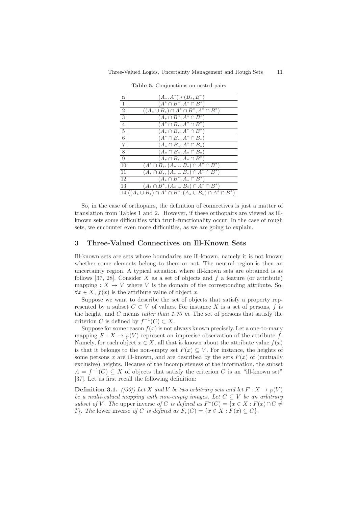| $\mathbf n$     | $(A_*, A^*) * (B_*, B^*)$                                                |
|-----------------|--------------------------------------------------------------------------|
| 1               | $(A^*\cap B^*, A^*\cap B^*)$                                             |
| $\overline{2}$  | $((A_* \cup B_*) \cap A^* \cap B^*, A^* \cap B^*)$                       |
| $\overline{3}$  | $(A_* \cap B^*, A^* \cap B^*)$                                           |
| $\overline{4}$  | $(A^*\cap B_*,A^*\cap B^*)$                                              |
| $\overline{5}$  | $(A_* \cap B_*, A^* \cap B^*)$                                           |
| 6               | $(A^* \cap B_*, A^* \cap B_*)$                                           |
| $\overline{7}$  | $(A_* \cap B_*, A^* \cap \overline{B_*})$                                |
| $\overline{8}$  | $(A_* \cap B_*, A_* \cap B_*)$                                           |
| $\overline{9}$  | $(A_* \cap B_*, A_* \cap B^*)$                                           |
| 10              | $(A^* \cap B_*, (A_* \cup B_*) \cap A^* \cap B^*)$                       |
| $\overline{11}$ | $(A_* \cap B_*, (A_* \cup B_*) \cap A^* \cap B^*)$                       |
| 12              | $(A_* \cap B^*, A_* \cap B^*)$                                           |
| 13              | $(A_* \cap B^*, (A_* \cup B_*) \cap A^* \cap B^*)$                       |
|                 | $14((A_* \cup B_*) \cap A^* \cap B^*, (A_* \cup B_*) \cap A^* \cap B^*)$ |

Table 5. Conjunctions on nested pairs

So, in the case of orthopairs, the definition of connectives is just a matter of translation from Tables 1 and 2. However, if these orthopairs are viewed as illknown sets some difficulties with truth-functionality occur. In the case of rough sets, we encounter even more difficulties, as we are going to explain.

### 3 Three-Valued Connectives on Ill-Known Sets

Ill-known sets are sets whose boundaries are ill-known, namely it is not known whether some elements belong to them or not. The neutral region is then an uncertainty region. A typical situation where ill-known sets are obtained is as follows [37, 28]. Consider  $X$  as a set of objects and  $f$  a feature (or attribute) mapping :  $X \to V$  where V is the domain of the corresponding attribute. So,  $\forall x \in X$ ,  $f(x)$  is the attribute value of object x.

Suppose we want to describe the set of objects that satisfy a property represented by a subset  $C \subset V$  of values. For instance X is a set of persons, f is the height, and  $C$  means *taller than* 1.70  $m$ . The set of persons that satisfy the criterion C is defined by  $f^{-1}(C) \subset X$ .

Suppose for some reason  $f(x)$  is not always known precisely. Let a one-to-many mapping  $F: X \to \varphi(V)$  represent an imprecise observation of the attribute f. Namely, for each object  $x \in X$ , all that is known about the attribute value  $f(x)$ is that it belongs to the non-empty set  $F(x) \subseteq V$ . For instance, the heights of some persons  $x$  are ill-known, and are described by the sets  $F(x)$  of (mutually exclusive) heights. Because of the incompleteness of the information, the subset  $A = f^{-1}(C) \subseteq X$  of objects that satisfy the criterion C is an "ill-known set" [37]. Let us first recall the following definition:

**Definition 3.1.** ([30]) Let X and V be two arbitrary sets and let  $F: X \to \varphi(V)$ be a multi-valued mapping with non-empty images. Let  $C \subseteq V$  be an arbitrary subset of V. The upper inverse of C is defined as  $F^*(C) = \{x \in X : F(x) \cap C \neq \emptyset\}$  $\emptyset$ . The lower inverse of C is defined as  $F_*(C) = \{x \in X : F(x) \subseteq C\}.$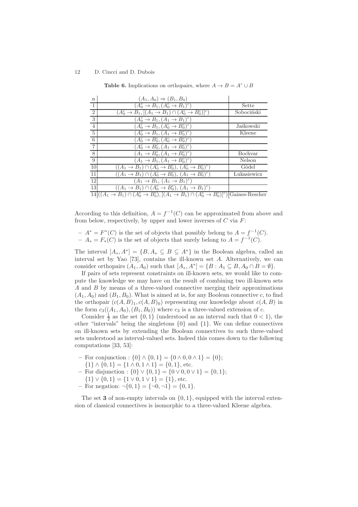| $\mathbf n$     | $(A_1, A_0) \Rightarrow (B_1, B_0)$                                                                                                  |             |
|-----------------|--------------------------------------------------------------------------------------------------------------------------------------|-------------|
| -1              | $(A_0^c \rightarrow B_1, (A_0^c \rightarrow B_1)^c)$                                                                                 | Sette       |
| 2               | $(A_0^c \to B_1, [(A_1 \to B_1) \cap (A_0^c \to B_0^c)]^c)$                                                                          | Sobociński  |
| $\overline{3}$  | $(A_0^c \to B_1, (A_1 \to B_1)^c)$                                                                                                   |             |
| $\overline{4}$  | $(A_0^c \to B_1, (A_0^c \to B_0^c)^c)$                                                                                               | Jaśkowski   |
| $\overline{5}$  | $(A_0^c \rightarrow B_1, (A_1 \rightarrow B_0^c)^c)$                                                                                 | Kleene      |
| 6               | $(A_0^c \rightarrow B_0^c, (A_0^c \rightarrow B_0^c)^c)$                                                                             |             |
| $\overline{7}$  | $(A_0^c \rightarrow \overline{B_0^c, (A_1 \rightarrow B_0^c)^c})$                                                                    |             |
| 8               | $(A_1 \rightarrow B_0^c, (A_1 \rightarrow \overline{B_0^c})^c)$                                                                      | Bochvar     |
| $\overline{9}$  | $(A_1 \rightarrow B_1, (A_1 \rightarrow B_0^c)^c)$                                                                                   | Nelson      |
| $\overline{10}$ | $\overline{((A_1 \rightarrow B_1) \cap (A_0^c \rightarrow B_0^c), (A_0^c \rightarrow B_0^c)^c)}$                                     | Gödel       |
| $\overline{11}$ | $\overline{((A_1 \rightarrow B_1) \cap (A_0^c \rightarrow B_0^c), (A_1 \rightarrow B_0^c)^c)}$                                       | Lukasiewicz |
| 12              | $(A_1 \to B_1, (A_1 \to B_1)^c)$                                                                                                     |             |
| 13              | $((A_1 \to B_1) \cap (A_0^c \to B_0^c), (A_1 \to B_1)^c)$                                                                            |             |
|                 | $14(((A_1 \rightarrow B_1) \cap (A_0^c \rightarrow B_0^c), [(A_1 \rightarrow B_1) \cap (A_0^c \rightarrow B_0^c)]^c)$ Gaines-Rescher |             |

**Table 6.** Implications on orthopairs, where  $A \rightarrow B = A^c \cup B$ 

According to this definition,  $A = f^{-1}(C)$  can be approximated from above and from below, respectively, by upper and lower inverses of  $C$  via  $F$ :

 $- A^* = F^*(C)$  is the set of objects that possibly belong to  $A = f^{-1}(C)$ .  $- A_* = F_*(C)$  is the set of objects that surely belong to  $A = f^{-1}(C)$ .

The interval  $[A_*, A^*] = \{B, A_* \subseteq B \subseteq A^*\}$  in the Boolean algebra, called an interval set by Yao  $[73]$ , contains the ill-known set  $A$ . Alternatively, we can consider orthopairs  $(A_1, A_0)$  such that  $[A_*, A^*] = \{B : A_1 \subseteq B, A_0 \cap B = \emptyset\}.$ 

If pairs of sets represent constraints on ill-known sets, we would like to compute the knowledge we may have on the result of combining two ill-known sets A and B by means of a three-valued connective merging their approximations  $(A_1, A_0)$  and  $(B_1, B_0)$ . What is aimed at is, for any Boolean connective c, to find the orthopair  $(c(A, B)_1, c(A, B)_0)$  representing our knowledge about  $c(A, B)$  in the form  $c_3((A_1, A_0), (B_1, B_0))$  where  $c_3$  is a three-valued extension of c.

Consider  $\frac{1}{2}$  as the set  $\{0,1\}$  (understood as an interval such that  $0 < 1$ ), the other "intervals" being the singletons  $\{0\}$  and  $\{1\}$ . We can define connectives on ill-known sets by extending the Boolean connectives to such three-valued sets understood as interval-valued sets. Indeed this comes down to the following computations [33, 53]:

- For conjunction : {0} ∧ {0, 1} = {0 ∧ 0, 0 ∧ 1} = {0};
- $\{1\} \wedge \{0,1\} = \{1 \wedge 0, 1 \wedge 1\} = \{0,1\},$  etc.
- For disjunction : {0} ∨ {0, 1} = {0 ∨ 0, 0 ∨ 1} = {0, 1};
- ${1} \vee {0,1} = {1 \vee 0, 1 \vee 1} = {1}$ , etc. – For negation:  $\neg \{0, 1\} = \{\neg 0, \neg 1\} = \{0, 1\}.$

The set 3 of non-empty intervals on  $\{0, 1\}$ , equipped with the interval extension of classical connectives is isomorphic to a three-valued Kleene algebra.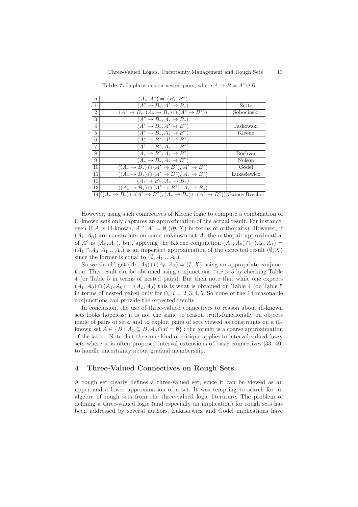|                 | $(A_*,A^*) \Rightarrow (B_*,B^*)$                                                                                         |             |
|-----------------|---------------------------------------------------------------------------------------------------------------------------|-------------|
| $\mathbf n$     |                                                                                                                           |             |
| $\overline{1}$  | $(A^* \rightarrow B_*, A^* \rightarrow B_*)$                                                                              | Sette       |
| $\overline{2}$  | $(A^* \to B_*, (A_* \to B_*) \cap (A^* \to B^*))$                                                                         | Sobociński  |
| $\overline{3}$  | $(A^* \rightarrow B_*, A_* \rightarrow B_*)$                                                                              |             |
| $\overline{4}$  | $(A^* \rightarrow B_*, A^* \rightarrow B^*)$                                                                              | Jaśkowski   |
| -5              | $(A^* \rightarrow B_*, A_* \rightarrow B^*)$                                                                              | Kleene      |
| -6              | $(A^* \rightarrow B^*, A^* \rightarrow B^*)$                                                                              |             |
| $\overline{7}$  | $(A^* \rightarrow B^*, A_* \rightarrow B^*)$                                                                              |             |
| 8               | $(A_* \rightarrow B^*, A_* \rightarrow B^*)$                                                                              | Bochvar     |
| 9               | $(A_* \rightarrow B_*, A_* \rightarrow B^*)$                                                                              | Nelson      |
| 10              | $((A_* \rightarrow B_*) \cap (A^* \rightarrow B^*), A^* \rightarrow B^*)$                                                 | Gödel       |
| $\overline{11}$ | $\overline{((A_* \rightarrow B_*) \cap (A^* \rightarrow B^*)}, A_* \rightarrow B^*)$                                      | Lukasiewicz |
| 12              | $(A_* \rightarrow B_*, A_* \rightarrow B_*)$                                                                              |             |
| 13              | $((A_* \rightarrow B_*) \cap (A^* \rightarrow B^*), A_* \rightarrow B_*)$                                                 |             |
|                 | $14 ((A_* \rightarrow B_*) \cap (A^* \rightarrow B^*), (A_* \rightarrow B_*) \cap (A^* \rightarrow B^*)) $ Gaines-Rescher |             |

**Table 7.** Implications on nested pairs, where  $A \to B = A^c \cup B$ 

However, using such connectives of Kleene logic to compute a combination of ill-known sets only captures an approximation of the actual result. For instance, even if A is ill-known,  $A \cap A^c = \emptyset$  (( $\emptyset, X$ ) in terms of orthopairs). However, if  $(A_1, A_0)$  are constraints on some unknown set A, the orthopair approximation of  $A^c$  is  $(A_0, A_1)$ , but, applying the Kleene conjunction  $(A_1, A_0) \cap_5 (A_0, A_1) =$  $(A_1 \cap A_0, A_1 \cup A_0)$  is an imperfect approximation of the expected result  $(\emptyset, X)$ since the former is equal to  $(\emptyset, A_1 \cup A_0)$ .

So we should get  $(A_1, A_0) \cap (A_0, A_1) = (\emptyset, X)$  using an appropriate conjunction. This result can be obtained using conjunctions  $\cap_i, i > 5$  by checking Table 4 (or Table 5 in terms of nested pairs). But then note that while one expects  $(A_1, A_0) \cap (A_1, A_0) = (A_1, A_0)$  this is what is obtained on Table 4 (or Table 5) in terms of nested pairs) only for  $\cap_i$ ,  $i = 2, 3, 4, 5$ . So none of the 14 reasonable conjunctions can provide the expected results.

In conclusion, the use of three-valued connectives to reason about ill-known sets looks hopeless: it is not the same to reason truth-functionally on objects made of pairs of sets, and to exploit pairs of sets viewed as constraints on a illknown set  $A \in \{B : A_1 \subseteq B, A_0 \cap B = \emptyset\}$ : the former is a coarse approximation of the latter. Note that the same kind of critique applies to interval-valued fuzzy sets where it is often proposed interval extensions of basic connectives [33, 40] to handle uncertainty about gradual membership.

## 4 Three-Valued Connectives on Rough Sets

A rough set clearly defines a three-valued set, since it can be viewed as an upper and a lower approximation of a set. It was tempting to search for an algebra of rough sets from the three-valued logic literature. The problem of defining a three-valued logic (and especially an implication) for rough sets has been addressed by several authors. Lukasiewicz and Gödel implications have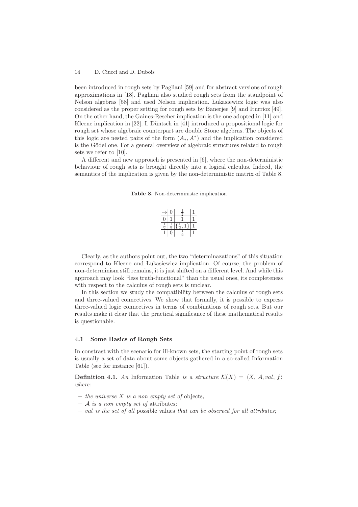been introduced in rough sets by Pagliani [59] and for abstract versions of rough approximations in [18]. Pagliani also studied rough sets from the standpoint of Nelson algebras [58] and used Nelson implication. Lukasiewicz logic was also considered as the proper setting for rough sets by Banerjee [9] and Iturrioz [49]. On the other hand, the Gaines-Rescher implication is the one adopted in [11] and Kleene implication in  $[22]$ . I. Düntsch in  $[41]$  introduced a propositional logic for rough set whose algebraic counterpart are double Stone algebras. The objects of this logic are nested pairs of the form  $(A_*, A^*)$  and the implication considered is the Gödel one. For a general overview of algebraic structures related to rough sets we refer to [10].

A different and new approach is presented in [6], where the non-deterministic behaviour of rough sets is brought directly into a logical calculus. Indeed, the semantics of the implication is given by the non-deterministic matrix of Table 8.

| Table 8. Non-deterministic implication |  |  |
|----------------------------------------|--|--|
|----------------------------------------|--|--|

|   | Π | ≂              |  |
|---|---|----------------|--|
|   |   |                |  |
| ÷ |   |                |  |
|   |   | $\overline{2}$ |  |

Clearly, as the authors point out, the two "determinazations" of this situation correspond to Kleene and Lukasiewicz implication. Of course, the problem of non-determinism still remains, it is just shifted on a different level. And while this approach may look "less truth-functional" than the usual ones, its completeness with respect to the calculus of rough sets is unclear.

In this section we study the compatibility between the calculus of rough sets and three-valued connectives. We show that formally, it is possible to express three-valued logic connectives in terms of combinations of rough sets. But our results make it clear that the practical significance of these mathematical results is questionable.

#### 4.1 Some Basics of Rough Sets

In constrast with the scenario for ill-known sets, the starting point of rough sets is usually a set of data about some objects gathered in a so-called Information Table (see for instance [61]).

**Definition 4.1.** An Information Table is a structure  $\mathcal{K}(X) = \langle X, \mathcal{A}, val, f \rangle$ where:

- the universe  $X$  is a non empty set of objects;
- $-$  A is a non empty set of attributes;
- $-$  val is the set of all possible values that can be observed for all attributes;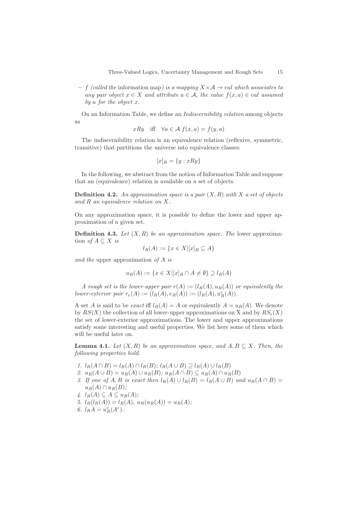$- f$  (called the information map) is a mapping  $X \times A \rightarrow \text{val}$  which associates to any pair object  $x \in X$  and attribute  $a \in A$ , the value  $f(x, a) \in val$  assumed by a for the object  $x$ .

On an Information Table, we define an Indiscernibility relation among objects as

$$
xRy
$$
 iff  $\forall a \in A$   $f(x,a) = f(y,a)$ 

The indiscernibility relation is an equivalence relation (reflexive, symmetric, transitive) that partitions the universe into equivalence classes:

$$
[x]_R = \{y : xRy\}
$$

In the following, we abstract from the notion of Information Table and suppose that an (equivalence) relation is available on a set of objects.

**Definition 4.2.** An approximation space is a pair  $(X, R)$  with X a set of objects and R an equivalence relation on X.

On any approximation space, it is possible to define the lower and upper approximation of a given set.

**Definition 4.3.** Let  $(X, R)$  be an approximation space. The lower approximation of  $A \subseteq X$  is

$$
l_R(A) := \{ x \in X | [x]_R \subseteq A \}
$$

and the upper approximation of A is

$$
u_R(A) := \{ x \in X | [x]_R \cap A \neq \emptyset \} \supseteq l_R(A)
$$

A rough set is the lower-upper pair  $r(A) := (l_R(A), u_R(A))$  or equivalently the lower-exterior pair  $r_e(A) := (l_R(A), e_R(A)) := (l_R(A), u_R^c(A)).$ 

A set A is said to be *exact* iff  $l_R(A) = A$  or equivalently  $A = u_R(A)$ . We denote by  $RS(X)$  the collection of all lower-upper approximations on X and by  $RS_e(X)$ the set of lower-exterior approximations. The lower and upper approximations satisfy some interesting and useful properties. We list here some of them which will be useful later on.

**Lemma 4.1.** Let  $(X, R)$  be an approximation space, and  $A, B \subseteq X$ . Then, the following properties hold.

- 1.  $l_R(A \cap B) = l_R(A) \cap l_R(B); l_R(A \cup B) \supseteq l_R(A) \cup l_R(B)$
- 2.  $u_R(A \cup B) = u_R(A) \cup u_R(B);$   $u_R(A \cap B) \subseteq u_R(A) \cap u_R(B)$
- 3. If one of A, B is exact then  $l_R(A) \cup l_R(B) = l_R(A \cup B)$  and  $u_R(A \cap B) =$  $u_B(A) \cap u_B(B);$
- 4.  $l_R(A) \subseteq A \subseteq u_R(A);$
- 5.  $l_R(l_R(A)) = l_R(A), u_R(u_R(A)) = u_R(A);$
- 6.  $l_R A = u_R^c(A^c)$ .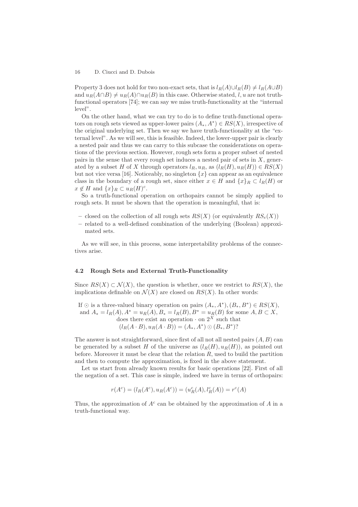Property 3 does not hold for two non-exact sets, that is  $l_R(A) \cup l_R(B) \neq l_R(A \cup B)$ and  $u_R(A \cap B) \neq u_R(A) \cap u_R(B)$  in this case. Otherwise stated, l, u are not truthfunctional operators [74]; we can say we miss truth-functionality at the "internal level".

On the other hand, what we can try to do is to define truth-functional operators on rough sets viewed as upper-lower pairs  $(A_*, A^*) \in RS(X)$ , irrespective of the original underlying set. Then we say we have truth-functionality at the "external level". As we will see, this is feasible. Indeed, the lower-upper pair is clearly a nested pair and thus we can carry to this subcase the considerations on operations of the previous section. However, rough sets form a proper subset of nested pairs in the sense that every rough set induces a nested pair of sets in X, generated by a subset H of X through operators  $l_R, u_R$ , as  $(l_R(H), u_R(H)) \in RS(X)$ but not vice versa [16]. Noticeably, no singleton  $\{x\}$  can appear as an equivalence class in the boundary of a rough set, since either  $x \in H$  and  $\{x\}_R \subset l_R(H)$  or  $x \notin H$  and  $\{x\}_R \subset u_R(H)^c$ .

So a truth-functional operation on orthopairs cannot be simply applied to rough sets. It must be shown that the operation is meaningful, that is:

- closed on the collection of all rough sets  $RS(X)$  (or equivalently  $RS_e(X)$ )
- related to a well-defined combination of the underlying (Boolean) approximated sets.

As we will see, in this process, some interpretability problems of the connectives arise.

#### 4.2 Rough Sets and External Truth-Functionality

Since  $RS(X) \subset \mathcal{N}(X)$ , the question is whether, once we restrict to  $RS(X)$ , the implications definable on  $\mathcal{N}(X)$  are closed on  $RS(X)$ . In other words:

If  $\odot$  is a three-valued binary operation on pairs  $(A_*, A^*), (B_*, B^*) \in RS(X)$ , and  $A_* = l_R(A), A^* = u_R(A), B_* = l_R(B), B^* = u_R(B)$  for some  $A, B \subset X$ , does there exist an operation  $\cdot$  on  $2^X$  such that  $(l_R(A \cdot B), u_R(A \cdot B)) = (A_*, A^*) \odot (B_*, B^*)$ ?

The answer is not straightforward, since first of all not all nested pairs  $(A, B)$  can be generated by a subset H of the universe as  $(l_R(H), u_R(H))$ , as pointed out before. Moreover it must be clear that the relation  $R$ , used to build the partition and then to compute the approximation, is fixed in the above statement.

Let us start from already known results for basic operations [22]. First of all the negation of a set. This case is simple, indeed we have in terms of orthopairs:

$$
r(A^c) = (l_R(A^c), u_R(A^c)) = (u_R^c(A), l_R^c(A)) = r^c(A)
$$

Thus, the approximation of  $A^c$  can be obtained by the approximation of A in a truth-functional way.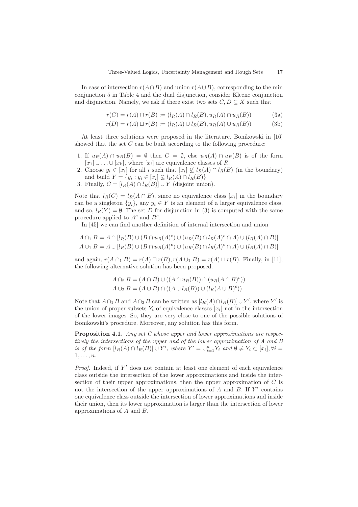In case of intersection  $r(A\cap B)$  and union  $r(A\cup B)$ , corresponding to the min conjunction 5 in Table 4 and the dual disjunction, consider Kleene conjunction and disjunction. Namely, we ask if there exist two sets  $C, D \subseteq X$  such that

$$
r(C) = r(A) \sqcap r(B) := (l_R(A) \cap l_R(B), u_R(A) \cap u_R(B))
$$
 (3a)

$$
r(D) = r(A) \sqcup r(B) := (l_R(A) \cup l_R(B), u_R(A) \cup u_R(B))
$$
 (3b)

At least three solutions were proposed in the literature. Bonikowski in [16] showed that the set  $C$  can be built according to the following procedure:

- 1. If  $u_R(A) \cap u_R(B) = \emptyset$  then  $C = \emptyset$ , else  $u_R(A) \cap u_R(B)$  is of the form  $[x_1] \cup \ldots \cup [x_k]$ , where  $[x_i]$  are equivalence classes of R.
- 2. Choose  $y_i \in [x_i]$  for all i such that  $[x_i] \not\subseteq l_R(A) \cap l_R(B)$  (in the boundary) and build  $Y = \{y_i : y_i \in [x_i] \not\subseteq l_R(A) \cap l_R(B)\}\$
- 3. Finally,  $C = [l_R(A) \cap l_R(B)] \cup Y$  (disjoint union).

Note that  $l_R(C) = l_R(A \cap B)$ , since no equivalence class  $[x_i]$  in the boundary can be a singleton  $\{y_i\}$ , any  $y_i \in Y$  is an element of a larger equivalence class, and so,  $l_R(Y) = \emptyset$ . The set D for disjunction in (3) is computed with the same procedure applied to  $A^c$  and  $B^c$ .

In [45] we can find another definition of internal intersection and union

$$
A \cap_1 B = A \cap [l_R(B) \cup (B \cap u_R(A)^c) \cup (u_R(B) \cap l_R(A)^c \cap A) \cup (l_R(A) \cap B)]
$$
  

$$
A \cup_1 B = A \cup [l_R(B) \cup (B \cap u_R(A)^c) \cup (u_R(B) \cap l_R(A)^c \cap A) \cup (l_R(A) \cap B)]
$$

and again,  $r(A \cap_1 B) = r(A) \cap r(B)$ ,  $r(A \cup_1 B) = r(A) \sqcup r(B)$ . Finally, in [11], the following alternative solution has been proposed.

$$
A \cap_2 B = (A \cap B) \cup ((A \cap u_R(B)) \cap (u_R(A \cap B)^c))
$$
  

$$
A \cup_2 B = (A \cup B) \cap ((A \cup l_R(B)) \cup (l_R(A \cup B)^c))
$$

Note that  $A \cap_1 B$  and  $A \cap_2 B$  can be written as  $[l_R(A) \cap l_R(B)] \cup Y'$ , where Y' is the union of proper subsets  $Y_i$  of equivalence classes  $[x_i]$  not in the intersection of the lower images. So, they are very close to one of the possible solutions of Bonikowski's procedure. Moreover, any solution has this form.

Proposition 4.1. Any set C whose upper and lower approximations are respectively the intersections of the upper and of the lower approximation of A and B is of the form  $[l_R(A) \cap l_R(B)] \cup Y'$ , where  $Y' = \bigcup_{i=1}^n Y_i$  and  $\emptyset \neq Y_i \subset [x_i], \forall i =$  $1, \ldots, n$ .

Proof. Indeed, if Y' does not contain at least one element of each equivalence class outside the intersection of the lower approximations and inside the intersection of their upper approximations, then the upper approximation of  $C$  is not the intersection of the upper approximations of  $A$  and  $B$ . If  $Y'$  contains one equivalence class outside the intersection of lower approximations and inside their union, then its lower approximation is larger than the intersection of lower approximations of A and B.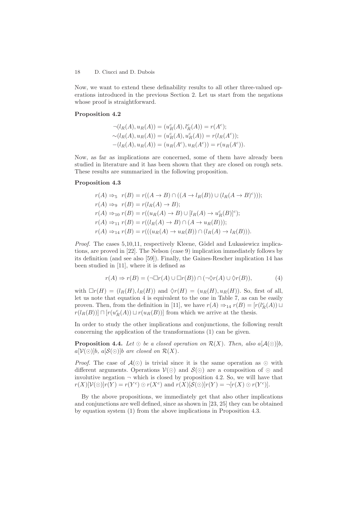Now, we want to extend these definability results to all other three-valued operations introduced in the previous Section 2. Let us start from the negations whose proof is straightforward.

#### Proposition 4.2

$$
\neg (l_R(A), u_R(A)) = (u_R^c(A), l_R^c(A)) = r(A^c);
$$
  
\n
$$
\sim (l_R(A), u_R(A)) = (u_R^c(A), u_R^c(A)) = r(l_R(A^c));
$$
  
\n
$$
-(l_R(A), u_R(A)) = (u_R(A^c), u_R(A^c)) = r(u_R(A^c)).
$$

Now, as far as implications are concerned, some of them have already been studied in literature and it has been shown that they are closed on rough sets. These results are summarized in the following proposition.

#### Proposition 4.3

$$
r(A) \Rightarrow_{5} r(B) = r((A \rightarrow B) \cap ((A \rightarrow l_{R}(B)) \cup (l_{R}(A \rightarrow B)^{c})))
$$
\n
$$
r(A) \Rightarrow_{9} r(B) = r(l_{R}(A) \rightarrow B);
$$
\n
$$
r(A) \Rightarrow_{10} r(B) = r((u_{R}(A) \rightarrow B) \cup [l_{R}(A) \rightarrow u_{R}^{c}(B)]^{c});
$$
\n
$$
r(A) \Rightarrow_{11} r(B) = r((l_{R}(A) \rightarrow B) \cap (A \rightarrow u_{R}(B)));
$$
\n
$$
r(A) \Rightarrow_{14} r(B) = r(((u_{R}(A) \rightarrow u_{R}(B)) \cap (l_{R}(A) \rightarrow l_{R}(B))).
$$

Proof. The cases 5,10,11, respectively Kleene, Gödel and Lukasiewicz implications, are proved in [22]. The Nelson (case 9) implication immediately follows by its definition (and see also [59]). Finally, the Gaines-Rescher implication 14 has been studied in [11], where it is defined as

$$
r(A) \Rightarrow r(B) = (\neg \Box r(A) \cup \Box r(B)) \cap (\neg \Diamond r(A) \cup \Diamond r(B)), \tag{4}
$$

with  $\Box r(H) = (l_R(H), l_R(H))$  and  $\Diamond r(H) = (u_R(H), u_R(H))$ . So, first of all, let us note that equation 4 is equivalent to the one in Table 7, as can be easily proven. Then, from the definition in [11], we have  $r(A) \Rightarrow_{14} r(B) = [r(l_R^c(A)) \sqcup$  $r(l_R(B))] \sqcap [r(u_R^c(A)) \sqcup r(u_R(B))]$  from which we arrive at the thesis.

In order to study the other implications and conjunctions, the following result concerning the application of the transformations (1) can be given.

**Proposition 4.4.** Let  $\odot$  be a closed operation on  $\mathcal{R}(X)$ . Then, also a[ $\mathcal{A}(\odot)|b$ ,  $a[V(\odot)]b, a[S(\odot)]b$  are closed on  $\mathcal{R}(X)$ .

*Proof.* The case of  $\mathcal{A}(\odot)$  is trivial since it is the same operation as  $\odot$  with different arguments. Operations  $\mathcal{V}(\odot)$  and  $\mathcal{S}(\odot)$  are a composition of  $\odot$  and involutive negation  $\neg$  which is closed by proposition 4.2. So, we will have that  $r(X)[\mathcal{V}(\odot)]r(Y) = r(Y^c) \odot r(X^c)$  and  $r(X)[\mathcal{S}(\odot)]r(Y) = \neg[r(X) \odot r(Y^c)].$ 

By the above propositions, we immediately get that also other implications and conjunctions are well defined, since as shown in [23, 25] they can be obtained by equation system (1) from the above implications in Proposition 4.3.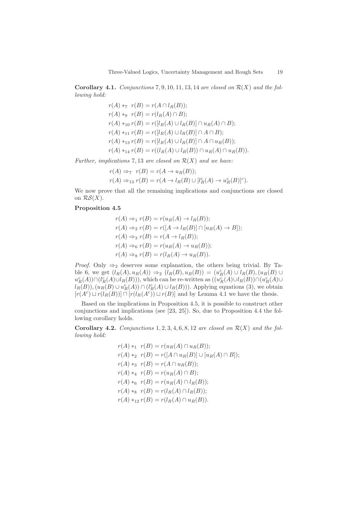Corollary 4.1. Conjunctions 7, 9, 10, 11, 13, 14 are closed on  $\mathcal{R}(X)$  and the following hold:

$$
r(A) *_{7} r(B) = r(A \cap l_{R}(B));
$$
  
\n
$$
r(A) *_{9} r(B) = r(l_{R}(A) \cap B);
$$
  
\n
$$
r(A) *_{10} r(B) = r([l_{R}(A) \cup l_{R}(B)] \cap u_{R}(A) \cap B);
$$
  
\n
$$
r(A) *_{11} r(B) = r([l_{R}(A) \cup l_{R}(B)] \cap A \cap B);
$$
  
\n
$$
r(A) *_{13} r(B) = r([l_{R}(A) \cup l_{R}(B)] \cap A \cap u_{R}(B));
$$
  
\n
$$
r(A) *_{14} r(B) = r((l_{R}(A) \cup l_{R}(B)) \cap u_{R}(A) \cap u_{R}(B)).
$$

Further, implications 7,13 are closed on  $\mathcal{R}(X)$  and we have:

$$
r(A) \Rightarrow_7 r(B) = r(A \to u_R(B));
$$
  

$$
r(A) \Rightarrow_{13} r(B) = r(A \to l_R(B) \cup [l_R^c(A) \to u_R^c(B)]^c).
$$

We now prove that all the remaining implications and conjunctions are closed on  $\mathcal{RS}(X)$ .

## Proposition 4.5

$$
r(A) \Rightarrow_1 r(B) = r(u_R(A) \to l_R(B));
$$
  
\n
$$
r(A) \Rightarrow_2 r(B) = r([A \to l_R(B)] \cap [u_R(A) \to B]);
$$
  
\n
$$
r(A) \Rightarrow_3 r(B) = r(A \to l_R(B));
$$
  
\n
$$
r(A) \Rightarrow_6 r(B) = r(u_R(A) \to u_R(B));
$$
  
\n
$$
r(A) \Rightarrow_8 r(B) = r(l_R(A) \to u_R(B)).
$$

*Proof.* Only  $\Rightarrow_2$  deserves some explanation, the others being trivial. By Table 6, we get  $(l_R(A), u_R(A)) \Rightarrow_2 (l_R(B), u_R(B)) = (u_R^c(A) \cup l_R(B), (u_R(B) \cup$  $u_R^c(A) \cap (l_R^c(A) \cup l_R(B))$ , which can be re-written as  $((u_R^c(A) \cup l_R(B)) \cap (u_R^c(A) \cup$  $l_R(B), (u_R(B) \cup u_R^c(A)) \cap (l_R^c(A) \cup l_R(B))$ . Applying equations (3), we obtain  $[r(A<sup>c</sup>) \sqcup r(l<sub>R</sub>(B))] \sqcap [r(l<sub>R</sub>(A<sup>c</sup>)) \sqcup r(B)]$  and by Lemma 4.1 we have the thesis.

Based on the implications in Proposition 4.5, it is possible to construct other conjunctions and implications (see [23, 25]). So, due to Proposition 4.4 the following corollary holds.

Corollary 4.2. Conjunctions 1, 2, 3, 4, 6, 8, 12 are closed on  $\mathcal{R}(X)$  and the following hold:

$$
r(A) *_{1} r(B) = r(u_{R}(A) \cap u_{R}(B));
$$
  
\n
$$
r(A) *_{2} r(B) = r([A \cap u_{R}(B)] \cup [u_{R}(A) \cap B]);
$$
  
\n
$$
r(A) *_{3} r(B) = r(A \cap u_{R}(B));
$$
  
\n
$$
r(A) *_{4} r(B) = r(u_{R}(A) \cap B);
$$
  
\n
$$
r(A) *_{6} r(B) = r(u_{R}(A) \cap l_{R}(B));
$$
  
\n
$$
r(A) *_{8} r(B) = r(l_{R}(A) \cap l_{R}(B));
$$
  
\n
$$
r(A) *_{12} r(B) = r(l_{R}(A) \cap u_{R}(B)).
$$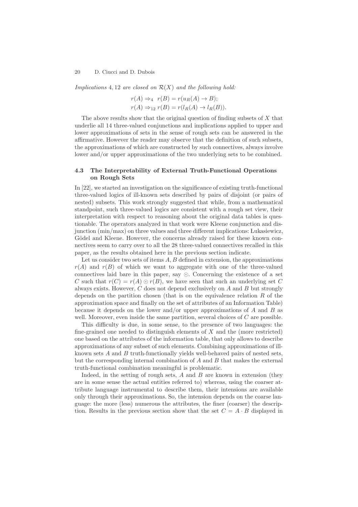Implications 4, 12 are closed on  $\mathcal{R}(X)$  and the following hold:

$$
r(A) \Rightarrow_4 r(B) = r(u_R(A) \to B);
$$
  

$$
r(A) \Rightarrow_{12} r(B) = r(l_R(A) \to l_R(B)).
$$

The above results show that the original question of finding subsets of  $X$  that underlie all 14 three-valued conjunctions and implications applied to upper and lower approximations of sets in the sense of rough sets can be answered in the affirmative. However the reader may observe that the definition of such subsets, the approximations of which are constructed by such connectives, always involve lower and/or upper approximations of the two underlying sets to be combined.

## 4.3 The Interpretability of External Truth-Functional Operations on Rough Sets

In [22], we started an investigation on the significance of existing truth-functional three-valued logics of ill-known sets described by pairs of disjoint (or pairs of nested) subsets. This work strongly suggested that while, from a mathematical standpoint, such three-valued logics are consistent with a rough set view, their interpretation with respect to reasoning about the original data tables is questionable. The operators analyzed in that work were Kleene conjunction and disjunction (min/max) on three values and three different implications: Lukasiewicz, Gödel and Kleene. However, the concerns already raised for these known connectives seem to carry over to all the 28 three-valued connectives recalled in this paper, as the results obtained here in the previous section indicate.

Let us consider two sets of items  $A, B$  defined in extension, the approximations  $r(A)$  and  $r(B)$  of which we want to aggregate with one of the three-valued connectives laid bare in this paper, say ⊙. Concerning the existence of a set C such that  $r(C) = r(A) \odot r(B)$ , we have seen that such an underlying set C always exists. However,  $C$  does not depend exclusively on  $A$  and  $B$  but strongly depends on the partition chosen (that is on the equivalence relation  $R$  of the approximation space and finally on the set of attributes of an Information Table) because it depends on the lower and/or upper approximations of  $A$  and  $B$  as well. Moreover, even inside the same partition, several choices of  $C$  are possible.

This difficulty is due, in some sense, to the presence of two languages: the fine-grained one needed to distinguish elements of  $X$  and the (more restricted) one based on the attributes of the information table, that only allows to describe approximations of any subset of such elements. Combining approximations of illknown sets  $A$  and  $B$  truth-functionally yields well-behaved pairs of nested sets, but the corresponding internal combination of  $A$  and  $B$  that makes the external truth-functional combination meaningful is problematic.

Indeed, in the setting of rough sets,  $A$  and  $B$  are known in extension (they are in some sense the actual entities referred to) whereas, using the coarser attribute language instrumental to describe them, their intensions are available only through their approximations. So, the intension depends on the coarse language: the more (less) numerous the attributes, the finer (coarser) the description. Results in the previous section show that the set  $C = A \cdot B$  displayed in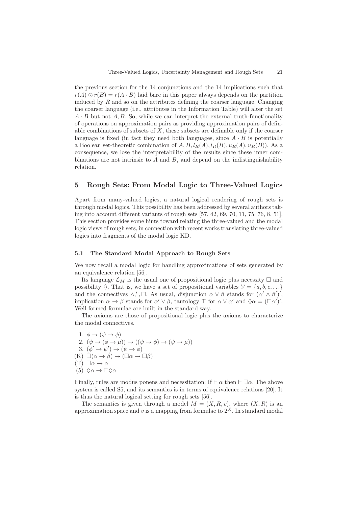the previous section for the 14 conjunctions and the 14 implications such that  $r(A) \odot r(B) = r(A \cdot B)$  laid bare in this paper always depends on the partition induced by  $R$  and so on the attributes defining the coarser language. Changing the coarser language (i.e., attributes in the Information Table) will alter the set  $A \cdot B$  but not  $A, B$ . So, while we can interpret the external truth-functionality of operations on approximation pairs as providing approximation pairs of definable combinations of subsets of  $X$ , these subsets are definable only if the coarser language is fixed (in fact they need both languages, since  $A \cdot B$  is potentially a Boolean set-theoretic combination of  $A, B, l_R(A), l_R(B), u_R(A), u_R(B)$ . As a consequence, we lose the interpretability of the results since these inner combinations are not intrinsic to  $A$  and  $B$ , and depend on the indistinguishability relation.

## 5 Rough Sets: From Modal Logic to Three-Valued Logics

Apart from many-valued logics, a natural logical rendering of rough sets is through modal logics. This possibility has been addressed by several authors taking into account different variants of rough sets [57, 42, 69, 70, 11, 75, 76, 8, 51]. This section provides some hints toward relating the three-valued and the modal logic views of rough sets, in connection with recent works translating three-valued logics into fragments of the modal logic KD.

## 5.1 The Standard Modal Approach to Rough Sets

We now recall a modal logic for handling approximations of sets generated by an equivalence relation [56].

Its language  $\mathcal{L}_M$  is the usual one of propositional logic plus necessity  $\Box$  and possibility  $\Diamond$ . That is, we have a set of propositional variables  $\mathcal{V} = \{a, b, c, \dots\}$ and the connectives  $\wedge', \Box$ . As usual, disjunction  $\alpha \vee \beta$  stands for  $(\alpha' \wedge \beta')',$ implication  $\alpha \to \beta$  stands for  $\alpha' \lor \beta$ , tautology  $\top$  for  $\alpha \lor \alpha'$  and  $\Diamond \alpha = (\Box \alpha')'.$ Well formed formulae are built in the standard way.

The axioms are those of propositional logic plus the axioms to characterize the modal connectives.

1.  $\phi \rightarrow (\psi \rightarrow \phi)$ 2.  $(\psi \rightarrow (\phi \rightarrow \mu)) \rightarrow ((\psi \rightarrow \phi) \rightarrow (\psi \rightarrow \mu))$ 3.  $(\phi' \rightarrow \psi') \rightarrow (\psi \rightarrow \phi)$  $(K) \square(\alpha \rightarrow \beta) \rightarrow (\square \alpha \rightarrow \square \beta)$  $(T) \Box \alpha \rightarrow \alpha$  $(5) \Diamond \alpha \rightarrow \Box \Diamond \alpha$ 

Finally, rules are modus ponens and necessitation: If  $\vdash \alpha$  then  $\vdash \Box \alpha$ . The above system is called S5, and its semantics is in terms of equivalence relations [20]. It is thus the natural logical setting for rough sets [56].

The semantics is given through a model  $M = (X, R, v)$ , where  $(X, R)$  is an approximation space and v is a mapping from formulae to  $2^X$ . In standard modal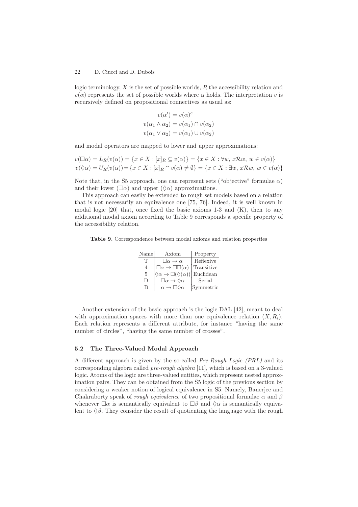logic terminology,  $X$  is the set of possible worlds,  $R$  the accessibility relation and  $v(\alpha)$  represents the set of possible worlds where  $\alpha$  holds. The interpretation v is recursively defined on propositional connectives as usual as:

$$
v(\alpha') = v(\alpha)^c
$$

$$
v(\alpha_1 \wedge \alpha_2) = v(\alpha_1) \cap v(\alpha_2)
$$

$$
v(\alpha_1 \vee \alpha_2) = v(\alpha_1) \cup v(\alpha_2)
$$

and modal operators are mapped to lower and upper approximations:

$$
v(\Box \alpha) = L_R(v(\alpha)) = \{x \in X : [x]_R \subseteq v(\alpha)\} = \{x \in X : \forall w, xRw, w \in v(\alpha)\}
$$
  

$$
v(\Diamond \alpha) = U_R(v(\alpha)) = \{x \in X : [x]_R \cap v(\alpha) \neq \emptyset\} = \{x \in X : \exists w, xRw, w \in v(\alpha)\}
$$

Note that, in the S5 approach, one can represent sets ("objective" formulae  $\alpha$ ) and their lower  $(\Box \alpha)$  and upper  $(\Diamond \alpha)$  approximations.

This approach can easily be extended to rough set models based on a relation that is not necessarily an equivalence one [75, 76]. Indeed, it is well known in modal logic  $[20]$  that, once fixed the basic axioms 1-3 and  $(K)$ , then to any additional modal axiom according to Table 9 corresponds a specific property of the accessibility relation.

Table 9. Correspondence between modal axioms and relation properties

| Name   | Axiom                                                | Property   |
|--------|------------------------------------------------------|------------|
| Έ      | $\alpha \rightarrow \alpha$                          | Reflexive  |
| 4      | $\Box \alpha \rightarrow \Box \Box (\alpha)$         | Transitive |
| 5      | $\Diamond \alpha \rightarrow \Box(\Diamond(\alpha))$ | Euclidean  |
| $\Box$ | $\Box \alpha \rightarrow \Diamond \alpha$            | Serial     |
| В      | $\alpha \to \Box \Diamond \alpha$                    | Symmetric  |

Another extension of the basic approach is the logic DAL [42], meant to deal with approximation spaces with more than one equivalence relation  $(X, R_i)$ . Each relation represents a different attribute, for instance "having the same number of circles", "having the same number of crosses".

#### 5.2 The Three-Valued Modal Approach

A different approach is given by the so-called Pre-Rough Logic (PRL) and its corresponding algebra called pre-rough algebra [11], which is based on a 3-valued logic. Atoms of the logic are three-valued entities, which represent nested approximation pairs. They can be obtained from the S5 logic of the previous section by considering a weaker notion of logical equivalence in S5. Namely, Banerjee and Chakraborty speak of rough equivalence of two propositional formulae  $\alpha$  and  $\beta$ whenever  $\Box \alpha$  is semantically equivalent to  $\Box \beta$  and  $\Diamond \alpha$  is semantically equivalent to  $\Diamond \beta$ . They consider the result of quotienting the language with the rough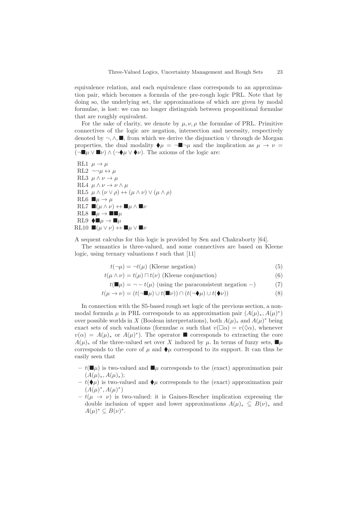equivalence relation, and each equivalence class corresponds to an approximation pair, which becomes a formula of the pre-rough logic PRL. Note that by doing so, the underlying set, the approximations of which are given by modal formulae, is lost: we can no longer distinguish between propositional formulae that are roughly equivalent.

For the sake of clarity, we denote by  $\mu$ ,  $\nu$ ,  $\rho$  the formulae of PRL. Primitive connectives of the logic are negation, intersection and necessity, respectively denoted by  $\neg, \wedge, \blacksquare$ , from which we derive the disjunction  $\vee$  through de Morgan properties, the dual modality  $\oint \mu = \neg \blacksquare \neg \mu$  and the implication as  $\mu \rightarrow \nu =$  $(\neg \blacksquare \mu \lor \blacksquare \nu) \land (\neg \blacklozenge \mu \lor \blacklozenge \nu)$ . The axioms of the logic are:

RL1  $\mu \rightarrow \mu$ RL2  $\neg\neg\mu \leftrightarrow \mu$ RL3  $\mu \wedge \nu \rightarrow \mu$ RL4  $\mu \wedge \nu \rightarrow \nu \wedge \mu$ RL5  $\mu \wedge (\nu \vee \rho) \leftrightarrow (\mu \wedge \nu) \vee (\mu \wedge \rho)$ RL6  $\Box \mu \rightarrow \mu$ RL7  $\blacksquare(\mu \wedge \nu) \leftrightarrow \blacksquare \mu \wedge \blacksquare \nu$ RL8  $\blacksquare \mu \to \blacksquare \blacksquare \mu$ RL9  $\blacklozenge \blacksquare \mu \to \blacksquare \mu$ RL10  $\blacksquare(\mu \vee \nu) \leftrightarrow \blacksquare \mu \vee \blacksquare \nu$ 

A sequent calculus for this logic is provided by Sen and Chakraborty [64].

The semantics is three-valued, and some connectives are based on Kleene logic, using ternary valuations  $t$  such that  $[11]$ 

$$
t(\neg \mu) = \neg t(\mu) \text{ (Kleene negation)}
$$
\n<sup>(5)</sup>

$$
t(\mu \wedge \nu) = t(\mu) \sqcap t(\nu)
$$
 (Kleene conjunction) \t\t(6)

$$
t(\blacksquare \mu) = \neg - t(\mu) \text{ (using the paraconsistent negation -)} \tag{7}
$$

$$
t(\mu \to \nu) = (t(\neg \blacksquare \mu) \cup t(\blacksquare \nu)) \cap (t(\neg \blacklozenge \mu) \cup t(\blacklozenge \nu))
$$
\n(8)

In connection with the S5-based rough set logic of the previous section, a nonmodal formula  $\mu$  in PRL corresponds to an approximation pair  $(A(\mu)_*, A(\mu)^*)$ over possible worlds in X (Boolean interpretations), both  $A(\mu)_*$  and  $A(\mu)^*$  being exact sets of such valuations (formulae  $\alpha$  such that  $v(\Box \alpha) = v(\Diamond \alpha)$ , whenever  $v(\alpha) = A(\mu)_*$  or  $A(\mu)^*$ ). The operator **c** corresponds to extracting the core  $A(\mu)_*$  of the three-valued set over X induced by  $\mu$ . In terms of fuzzy sets,  $\blacksquare \mu$ corresponds to the core of  $\mu$  and  $\blacklozenge \mu$  correspond to its support. It can thus be easily seen that

- $t($  $\blacksquare$  $\mu$ ) is two-valued and  $\blacksquare$  $\mu$  corresponds to the (exact) approximation pair  $(A(\mu)_*, A(\mu)_*);$
- $t(\blacklozenge \mu)$  is two-valued and  $\blacklozenge \mu$  corresponds to the (exact) approximation pair  $(A(\mu)^*, A(\mu)^*)$
- $-t(\mu \rightarrow \nu)$  is two-valued: it is Gaines-Rescher implication expressing the double inclusion of upper and lower approximations  $A(\mu)_* \subseteq B(\nu)_*$  and  $A(\mu)^* \subseteq B(\nu)^*.$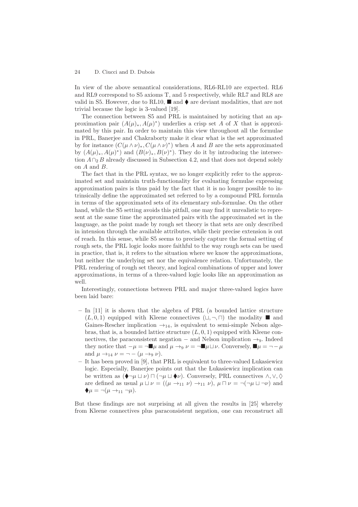In view of the above semantical considerations, RL6-RL10 are expected. RL6 and RL9 correspond to S5 axioms T, and 5 respectively, while RL7 and RL8 are valid in S5. However, due to RL10,  $\blacksquare$  and  $\blacklozenge$  are deviant modalities, that are not trivial because the logic is 3-valued [19].

The connection between S5 and PRL is maintained by noticing that an approximation pair  $(A(\mu)_*, A(\mu)^*)$  underlies a crisp set A of X that is approximated by this pair. In order to maintain this view throughout all the formulae in PRL, Banerjee and Chakraborty make it clear what is the set approximated by for instance  $(C(\mu \wedge \nu)_*, C(\mu \wedge \nu)^*)$  when A and B are the sets approximated by  $(A(\mu)_*, A(\mu)^*)$  and  $(B(\nu)_*, B(\nu)^*)$ . They do it by introducing the intersection  $A \cap_2 B$  already discussed in Subsection 4.2, and that does not depend solely on A and B.

The fact that in the PRL syntax, we no longer explicitly refer to the approximated set and maintain truth-functionality for evaluating formulae expressing approximation pairs is thus paid by the fact that it is no longer possible to intrinsically define the approximated set referred to by a compound PRL formula in terms of the approximated sets of its elementary sub-formulae. On the other hand, while the S5 setting avoids this pitfall, one may find it unrealistic to represent at the same time the approximated pairs with the approximated set in the language, as the point made by rough set theory is that sets are only described in intension through the available attributes, while their precise extension is out of reach. In this sense, while S5 seems to precisely capture the formal setting of rough sets, the PRL logic looks more faithful to the way rough sets can be used in practice, that is, it refers to the situation where we know the approximations, but neither the underlying set nor the equivalence relation. Unfortunately, the PRL rendering of rough set theory, and logical combinations of upper and lower approximations, in terms of a three-valued logic looks like an approximation as well.

Interestingly, connections between PRL and major three-valued logics have been laid bare:

- In [11] it is shown that the algebra of PRL (a bounded lattice structure  $(L, 0, 1)$  equipped with Kleene connectives  $(\sqcup, \neg, \sqcap)$  the modality  $\blacksquare$  and Gaines-Rescher implication  $\rightarrow_{14}$ , is equivalent to semi-simple Nelson algebras, that is, a bounded lattice structure  $(L, 0, 1)$  equipped with Kleene connectives, the paraconsistent negation  $-$  and Nelson implication  $\rightarrow_9$ . Indeed they notice that  $-\mu = \neg \blacksquare \mu$  and  $\mu \rightarrow_9 \nu = \neg \blacksquare \mu \sqcup \nu$ . Conversely,  $\blacksquare \mu = \neg - \mu$ and  $\mu \rightarrow_{14} \nu = \neg - (\mu \rightarrow_{9} \nu)$ .
- It has been proved in [9], that PRL is equivalent to three-valued Lukasiewicz logic. Especially, Banerjee points out that the Lukasiewicz implication can be written as  $(\biglozenge \neg \mu \sqcup \nu) \sqcap (\neg \mu \sqcup \biglozenge \nu)$ . Conversely, PRL connectives  $\land, \lor, \Diamond$ are defined as usual  $\mu \sqcup \nu = ((\mu \rightarrow_{11} \nu) \rightarrow_{11} \nu), \mu \sqcap \nu = \neg(\neg \mu \sqcup \neg \nu)$  and  $\blacklozenge \mu = \neg(\mu \rightarrow_{11} \neg \mu).$

But these findings are not surprising at all given the results in [25] whereby from Kleene connectives plus paraconsistent negation, one can reconstruct all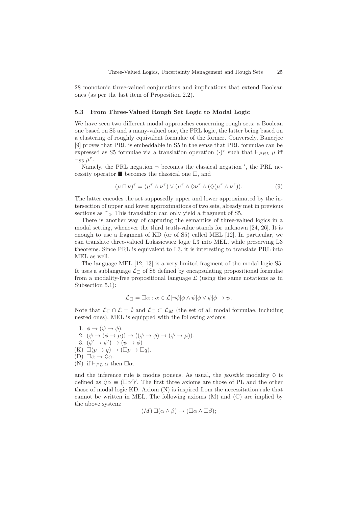28 monotonic three-valued conjunctions and implications that extend Boolean ones (as per the last item of Proposition 2.2).

#### 5.3 From Three-Valued Rough Set Logic to Modal Logic

We have seen two different modal approaches concerning rough sets: a Boolean one based on S5 and a many-valued one, the PRL logic, the latter being based on a clustering of roughly equivalent formulae of the former. Conversely, Banerjee [9] proves that PRL is embeddable in S5 in the sense that PRL formulae can be expressed as S5 formulae via a translation operation  $(\cdot)^{\tau}$  such that  $\vdash_{PRL} \mu$  iff  $\vdash_{S5} \mu^{\tau}$ .

Namely, the PRL negation ¬ becomes the classical negation  $'$ , the PRL necessity operator  $\blacksquare$  becomes the classical one  $\square$ , and

$$
(\mu \sqcap \nu)^{\tau} = (\mu^{\tau} \wedge \nu^{\tau}) \vee (\mu^{\tau} \wedge \Diamond \nu^{\tau} \wedge (\Diamond (\mu^{\tau} \wedge \nu^{\tau})). \tag{9}
$$

The latter encodes the set supposedly upper and lower approximated by the intersection of upper and lower approximations of two sets, already met in previous sections as  $\cap_2$ . This translation can only yield a fragment of S5.

There is another way of capturing the semantics of three-valued logics in a modal setting, whenever the third truth-value stands for unknown [24, 26]. It is enough to use a fragment of KD (or of S5) called MEL [12]. In particular, we can translate three-valued Lukasiewicz logic L3 into MEL, while preserving L3 theorems. Since PRL is equivalent to L3, it is interesting to translate PRL into MEL as well.

The language MEL [12, 13] is a very limited fragment of the modal logic S5. It uses a sublanguage  $\mathcal{L}_{\Box}$  of S5 defined by encapsulating propositional formulae from a modality-free propositional language  $\mathcal L$  (using the same notations as in Subsection 5.1):

$$
\mathcal{L}_{\Box} = \Box \alpha : \alpha \in \mathcal{L} | \neg \phi | \phi \land \psi | \phi \lor \psi | \phi \to \psi.
$$

Note that  $\mathcal{L}_{\Box} \cap \mathcal{L} = \emptyset$  and  $\mathcal{L}_{\Box} \subset \mathcal{L}_M$  (the set of all modal formulae, including nested ones). MEL is equipped with the following axioms:

1.  $\phi \rightarrow (\psi \rightarrow \phi)$ . 2.  $(\psi \rightarrow (\phi \rightarrow \mu)) \rightarrow ((\psi \rightarrow \phi) \rightarrow (\psi \rightarrow \mu)).$ 3.  $(\phi' \rightarrow \psi') \rightarrow (\psi \rightarrow \phi)$  $(K) \Box (p \rightarrow q) \rightarrow (\Box p \rightarrow \Box q).$ (D)  $\Box \alpha \rightarrow \Diamond \alpha$ . (N) if  $\vdash_{PL} \alpha$  then  $\square \alpha$ .

and the inference rule is modus ponens. As usual, the *possible* modality  $\Diamond$  is defined as  $\Diamond \alpha \equiv (\Box \alpha')'$ . The first three axioms are those of PL and the other those of modal logic KD. Axiom (N) is inspired from the necessitation rule that cannot be written in MEL. The following axioms (M) and (C) are implied by the above system:

$$
(M)\Box(\alpha \wedge \beta) \rightarrow (\Box \alpha \wedge \Box \beta);
$$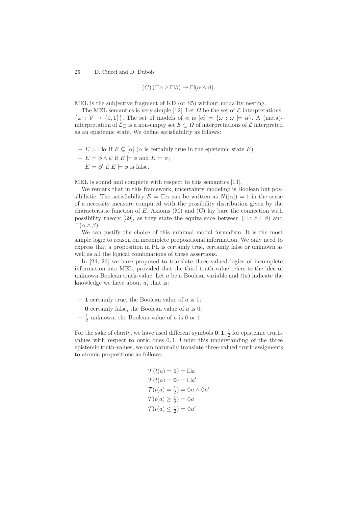$$
(C) (\Box \alpha \land \Box \beta) \to \Box (\alpha \land \beta).
$$

MEL is the subjective fragment of KD (or S5) without modality nesting.

The MEL semantics is very simple [12]. Let  $\Omega$  be the set of  $\mathcal L$  interpretations:  ${\omega : \mathcal{V} \to \{0,1\}}$ . The set of models of  $\alpha$  is  $[\alpha] = {\omega : \omega \models \alpha}$ . A (meta)interpretation of  $\mathcal{L}_{\Box}$  is a non-empty set  $E \subseteq \Omega$  of interpretations of  $\mathcal L$  interpreted as an epistemic state. We define satisfiability as follows:

- $-E \models \Box \alpha$  if  $E \subseteq [\alpha]$  ( $\alpha$  is certainly true in the epistemic state E)
- $-E \models \phi \land \psi$  if  $E \models \phi$  and  $E \models \psi$ ;
- $E \models \phi' \text{ if } E \models \phi \text{ is false.}$

MEL is sound and complete with respect to this semantics [13].

We remark that in this framework, uncertainty modeling is Boolean but possibilistic. The satisfiability  $E \models \Box \alpha$  can be written as  $N([\alpha]) = 1$  in the sense of a necessity measure computed with the possibility distribution given by the characteristic function of E. Axioms  $(M)$  and  $(C)$  lay bare the connection with possibility theory [39], as they state the equivalence between  $(\Box \alpha \land \Box \beta)$  and  $\square(\alpha \wedge \beta).$ 

We can justify the choice of this minimal modal formalism. It is the most simple logic to reason on incomplete propositional information. We only need to express that a proposition in PL is certainly true, certainly false or unknown as well as all the logical combinations of these assertions.

In [24, 26] we have proposed to translate three-valued logics of incomplete information into MEL, provided that the third truth-value refers to the idea of unknown Boolean truth-value. Let  $a$  be a Boolean variable and  $t(a)$  indicate the knowledge we have about  $a$ , that is:

- $-1$  certainly true, the Boolean value of a is 1;
- $-$  0 certainly false, the Boolean value of a is 0;
- $-\frac{1}{2}$  unknown, the Boolean value of a is 0 or 1.

For the sake of clarity, we have used different symbols  $0, 1, \frac{1}{2}$  for epistemic truthvalues with respect to ontic ones 0, 1. Under this understanding of the three epistemic truth-values, we can naturally translate three-valued truth-assigments to atomic propositions as follows:

$$
\mathcal{T}(t(a) = 1) = \Box a
$$
  
\n
$$
\mathcal{T}(t(a) = 0) = \Box a'
$$
  
\n
$$
\mathcal{T}(t(a) = \frac{1}{2}) = \Diamond a \land \Diamond a
$$
  
\n
$$
\mathcal{T}(t(a) \ge \frac{1}{2}) = \Diamond a
$$
  
\n
$$
\mathcal{T}(t(a) \le \frac{1}{2}) = \Diamond a'
$$

′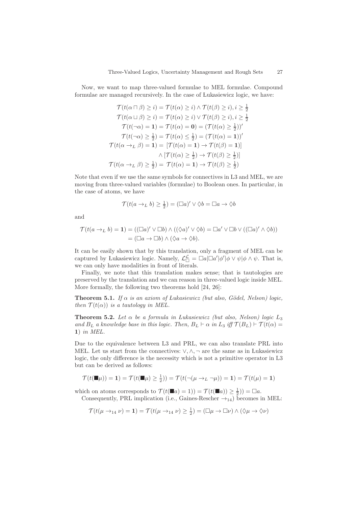Now, we want to map three-valued formulae to MEL formulae. Compound formulae are managed recursively. In the case of Lukasiewicz logic, we have:

$$
\mathcal{T}(t(\alpha \cap \beta) \geq i) = \mathcal{T}(t(\alpha) \geq i) \land \mathcal{T}(t(\beta) \geq i), i \geq \frac{1}{2}
$$
  

$$
\mathcal{T}(t(\alpha \cup \beta) \geq i) = \mathcal{T}(t(\alpha) \geq i) \lor \mathcal{T}(t(\beta) \geq i), i \geq \frac{1}{2}
$$
  

$$
\mathcal{T}(t(\neg \alpha) = 1) = \mathcal{T}(t(\alpha) = 0) = (\mathcal{T}(t(\alpha) \geq \frac{1}{2}))'
$$
  

$$
\mathcal{T}(t(\neg \alpha) \geq \frac{1}{2}) = \mathcal{T}(t(\alpha) \leq \frac{1}{2}) = (\mathcal{T}(t(\alpha) = 1))'
$$
  

$$
\mathcal{T}(t(\alpha \to_L \beta) = 1) = [\mathcal{T}(t(\alpha) = 1) \to \mathcal{T}(t(\beta) = 1)]
$$
  

$$
\land [\mathcal{T}(t(\alpha) \geq \frac{1}{2}) \to \mathcal{T}(t(\beta) \geq \frac{1}{2})]
$$
  

$$
\mathcal{T}(t(\alpha \to_L \beta) \geq \frac{1}{2}) = \mathcal{T}(t(\alpha) = 1) \to \mathcal{T}(t(\beta) \geq \frac{1}{2})
$$

Note that even if we use the same symbols for connectives in L3 and MEL, we are moving from three-valued variables (formulae) to Boolean ones. In particular, in the case of atoms, we have

$$
\mathcal{T}(t(a \to_L b) \ge \frac{1}{2}) = (\Box a)' \lor \Diamond b = \Box a \to \Diamond b
$$

and

$$
\mathcal{T}(t(a \to_L b) = 1) = ((\Box a)' \lor \Box b) \land ((\Diamond a)' \lor \Diamond b) = \Box a' \lor \Box b \lor ((\Box a)' \land \Diamond b))
$$
  
= (\Box a \to \Box b) \land (\Diamond a \to \Diamond b).

It can be easily shown that by this translation, only a fragment of MEL can be captured by Lukasiewicz logic. Namely,  $\mathcal{L}_{\Box}^{\mathcal{L}} = \Box a |\Box a'|\phi'|\phi \vee \psi|\phi \wedge \psi$ . That is, we can only have modalities in front of literals.

Finally, we note that this translation makes sense; that is tautologies are preserved by the translation and we can reason in three-valued logic inside MEL. More formally, the following two theorems hold [24, 26]:

**Theorem 5.1.** If  $\alpha$  is an axiom of Lukasiewicz (but also, Gödel, Nelson) logic, then  $\mathcal{T}(t(\alpha))$  is a tautology in MEL.

**Theorem 5.2.** Let  $\alpha$  be a formula in Lukasiewicz (but also, Nelson) logic  $L_3$ and  $B_L$  a knowledge base in this logic. Then,  $B_L \vdash \alpha$  in  $L_3$  iff  $\mathcal{T}(B_L) \vdash \mathcal{T}(t(\alpha) =$ 1) in MEL.

Due to the equivalence between L3 and PRL, we can also translate PRL into MEL. Let us start from the connectives:  $\vee, \wedge, \neg$  are the same as in Lukasiewicz logic, the only difference is the necessity which is not a primitive operator in L3 but can be derived as follows:

$$
\mathcal{T}(t(\blacksquare \mu)) = 1) = \mathcal{T}(t(\blacksquare \mu) \ge \frac{1}{2})) = \mathcal{T}(t(\neg(\mu \to_L \neg \mu)) = 1) = \mathcal{T}(t(\mu) = 1)
$$

which on atoms corresponds to  $\mathcal{T}(t(\blacksquare a) = 1)) = \mathcal{T}(t(\blacksquare a)) \ge \frac{1}{2}) = \square a$ . Consequently, PRL implication (i.e., Gaines-Rescher  $\rightarrow_{14}$ ) becomes in MEL:

$$
\mathcal{T}(t(\mu \to_{14} \nu) = 1) = \mathcal{T}(t(\mu \to_{14} \nu) \ge \frac{1}{2}) = (\square \mu \to \square \nu) \land (\lozenge \mu \to \lozenge \nu)
$$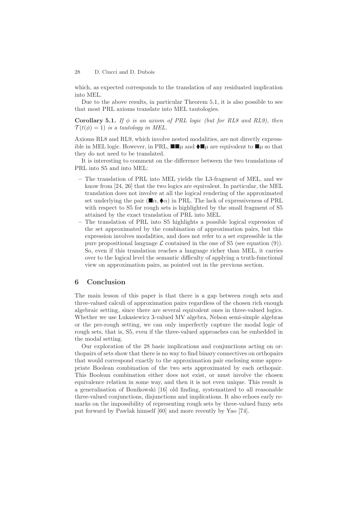which, as expected corresponds to the translation of any residuated implication into MEL.

Due to the above results, in particular Theorem 5.1, it is also possible to see that most PRL axioms translate into MEL tautologies.

**Corollary 5.1.** If  $\phi$  is an axiom of PRL logic (but for RL8 and RL9), then  $\mathcal{T}(t(\phi) = 1)$  is a tautology in MEL.

Axioms RL8 and RL9, which involve nested modalities, are not directly expressible in MEL logic. However, in PRL,  $\blacksquare \mu$  and  $\blacklozenge \blacksquare \mu$  are equivalent to  $\blacksquare \mu$  so that they do not need to be translated.

It is interesting to comment on the difference between the two translations of PRL into S5 and into MEL:

- The translation of PRL into MEL yields the L3-fragment of MEL, and we know from [24, 26] that the two logics are equivalent. In particular, the MEL translation does not involve at all the logical rendering of the approximated set underlying the pair ( $\blacksquare \alpha, \blacklozenge \alpha$ ) in PRL. The lack of expressiveness of PRL with respect to S5 for rough sets is highlighted by the small fragment of S5 attained by the exact translation of PRL into MEL.
- The translation of PRL into S5 highlights a possible logical expression of the set approximated by the combination of approximation pairs, but this expression involves modalities, and does not refer to a set expressible in the pure propositional language  $\mathcal L$  contained in the one of S5 (see equation (9)). So, even if this translation reaches a language richer than MEL, it carries over to the logical level the semantic difficulty of applying a truth-functional view on approximation pairs, as pointed out in the previous section.

## 6 Conclusion

The main lesson of this paper is that there is a gap between rough sets and three-valued calculi of approximation pairs regardless of the chosen rich enough algebraic setting, since there are several equivalent ones in three-valued logics. Whether we use Lukasiewicz 3-valued MV algebra, Nelson semi-simple algebras or the pre-rough setting, we can only imperfectly capture the modal logic of rough sets, that is, S5, even if the three-valued approaches can be embedded in the modal setting.

Our exploration of the 28 basic implications and conjunctions acting on orthopairs of sets show that there is no way to find binary connectives on orthopairs that would correspond exactly to the approximation pair enclosing some appropriate Boolean combination of the two sets approximated by each orthopair. This Boolean combination either does not exist, or must involve the chosen equivalence relation in some way, and then it is not even unique. This result is a generalisation of Bonikowski [16] old finding, systematized to all reasonable three-valued conjunctions, disjunctions and implications. It also echoes early remarks on the impossibility of representing rough sets by three-valued fuzzy sets put forward by Pawlak himself [60] and more recently by Yao [74].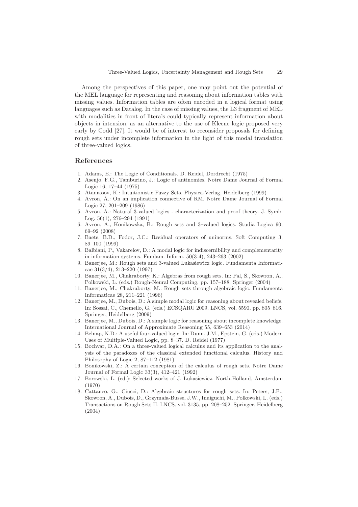Among the perspectives of this paper, one may point out the potential of the MEL language for representing and reasoning about information tables with missing values. Information tables are often encoded in a logical format using languages such as Datalog. In the case of missing values, the L3 fragment of MEL with modalities in front of literals could typically represent information about objects in intension, as an alternative to the use of Kleene logic proposed very early by Codd [27]. It would be of interest to reconsider proposals for defining rough sets under incomplete information in the light of this modal translation of three-valued logics.

## References

- 1. Adams, E.: The Logic of Conditionals. D. Reidel, Dordrecht (1975)
- 2. Asenjo, F.G., Tamburino, J.: Logic of antinomies. Notre Dame Journal of Formal Logic 16, 17–44 (1975)
- 3. Atanassov, K.: Intuitionistic Fuzzy Sets. Physica-Verlag, Heidelberg (1999)
- 4. Avron, A.: On an implication connective of RM. Notre Dame Journal of Formal Logic 27, 201–209 (1986)
- 5. Avron, A.: Natural 3-valued logics characterization and proof theory. J. Symb. Log. 56(1), 276–294 (1991)
- 6. Avron, A., Konikowska, B.: Rough sets and 3–valued logics. Studia Logica 90, 69–92 (2008)
- 7. Baets, B.D., Fodor, J.C.: Residual operators of uninorms. Soft Computing 3, 89–100 (1999)
- 8. Balbiani, P., Vakarelov, D.: A modal logic for indiscernibility and complementarity in information systems. Fundam. Inform. 50(3-4), 243–263 (2002)
- 9. Banerjee, M.: Rough sets and 3-valued Lukasiewicz logic. Fundamenta Informaticae 31(3/4), 213–220 (1997)
- 10. Banerjee, M., Chakraborty, K.: Algebras from rough sets. In: Pal, S., Skowron, A., Polkowski, L. (eds.) Rough-Neural Computing, pp. 157–188. Springer (2004)
- 11. Banerjee, M., Chakraborty, M.: Rough sets through algebraic logic. Fundamenta Informaticae 28, 211–221 (1996)
- 12. Banerjee, M., Dubois, D.: A simple modal logic for reasoning about revealed beliefs. In: Sossai, C., Chemello, G. (eds.) ECSQARU 2009. LNCS, vol. 5590, pp. 805–816. Springer, Heidelberg (2009)
- 13. Banerjee, M., Dubois, D.: A simple logic for reasoning about incomplete knowledge. International Journal of Approximate Reasoning 55, 639–653 (2014)
- 14. Belnap, N.D.: A useful four-valued logic. In: Dunn, J.M., Epstein, G. (eds.) Modern Uses of Multiple-Valued Logic, pp. 8–37. D. Reidel (1977)
- 15. Bochvar, D.A.: On a three-valued logical calculus and its application to the analysis of the paradoxes of the classical extended functional calculus. History and Philosophy of Logic 2, 87–112 (1981)
- 16. Bonikowski, Z.: A certain conception of the calculus of rough sets. Notre Dame Journal of Formal Logic 33(3), 412–421 (1992)
- 17. Borowski, L. (ed.): Selected works of J. Lukasiewicz. North-Holland, Amsterdam (1970)
- 18. Cattaneo, G., Ciucci, D.: Algebraic structures for rough sets. In: Peters, J.F., Skowron, A., Dubois, D., Grzymała-Busse, J.W., Inuiguchi, M., Polkowski, L. (eds.) Transactions on Rough Sets II. LNCS, vol. 3135, pp. 208–252. Springer, Heidelberg (2004)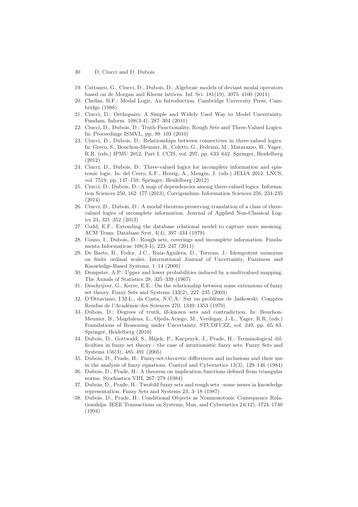- 30 D. Ciucci and D. Dubois
- 19. Cattaneo, G., Ciucci, D., Dubois, D.: Algebraic models of deviant modal operators based on de Morgan and Kleene lattices. Inf. Sci. 181(19), 4075–4100 (2011)
- 20. Chellas, B.F.: Modal Logic, An Introduction. Cambridge University Press, Cambridge (1988)
- 21. Ciucci, D.: Orthopairs: A Simple and Widely Used Way to Model Uncertainty. Fundam. Inform. 108(3-4), 287–304 (2011)
- 22. Ciucci, D., Dubois, D.: Truth-Functionality, Rough Sets and Three-Valued Logics. In: Proceedings ISMVL, pp. 98–103 (2010)
- 23. Ciucci, D., Dubois, D.: Relationships between connectives in three-valued logics. In: Greco, S., Bouchon-Meunier, B., Coletti, G., Fedrizzi, M., Matarazzo, B., Yager, R.R. (eds.) IPMU 2012, Part I. CCIS, vol. 297, pp. 633–642. Springer, Heidelberg (2012)
- 24. Ciucci, D., Dubois, D.: Three-valued logics for incomplete information and epistemic logic. In: del Cerro, L.F., Herzig, A., Mengin, J. (eds.) JELIA 2012. LNCS, vol. 7519, pp. 147–159. Springer, Heidelberg (2012)
- 25. Ciucci, D., Dubois, D.: A map of dependencies among three-valued logics. Information Sciences 250, 162–177 (2013), Corrigendum: Information Sciences 256, 234-235 (2014)
- 26. Ciucci, D., Dubois, D.: A modal theorem-preserving translation of a class of threevalued logics of incomplete information. Journal of Applied Non-Classical Logics 23, 321–352 (2013)
- 27. Codd, E.F.: Extending the database relational model to capture more meaning. ACM Trans. Database Syst. 4(4), 397–434 (1979)
- 28. Couso, I., Dubois, D.: Rough sets, coverings and incomplete information. Fundamenta Informaticae 108(3-4), 223–247 (2011)
- 29. De Baets, B., Fodor, J.C., Ruiz-Aguilera, D., Torrens, J.: Idempotent uninorms on finite ordinal scales. International Journal of Uncertainty, Fuzziness and Knowledge-Based Systems, 1–14 (2009)
- 30. Dempster, A.P.: Upper and lower probabilities induced by a multivalued mapping. The Annals of Statistics 28, 325–339 (1967)
- 31. Deschrijver, G., Kerre, E.E.: On the relationship between some extensions of fuzzy set theory. Fuzzy Sets and Systems 133(2), 227–235 (2003)
- 32. D'Ottaviano, I.M.L., da Costa, N.C.A.: Sur un problème de Jaskowski. Comptes Rendus de l'Académie des Sciences 270, 1349-1353 (1970)
- 33. Dubois, D.: Degrees of truth, ill-known sets and contradiction. In: Bouchon-Meunier, B., Magdalena, L., Ojeda-Aciego, M., Verdegay, J.-L., Yager, R.R. (eds.) Foundations of Reasoning under Uncertainty. STUDFUZZ, vol. 249, pp. 65–83. Springer, Heidelberg (2010)
- 34. Dubois, D., Gottwald, S., Hájek, P., Kacprzyk, J., Prade, H.: Terminological difficulties in fuzzy set theory - the case of intuitionistic fuzzy sets. Fuzzy Sets and Systems 156(3), 485–491 (2005)
- 35. Dubois, D., Prade, H.: Fuzzy-set-theoretic differences and inclusions and their use in the analysis of fuzzy equations. Control and Cybernetics 13(3), 129–146 (1984)
- 36. Dubois, D., Prade, H.: A theorem on implication functions defined from triangular norms. Stochastica VIII, 267–279 (1984)
- 37. Dubois, D., Prade, H.: Twofold fuzzy sets and rough sets –some issues in knowledge representation. Fuzzy Sets and Systems 23, 3–18 (1987)
- 38. Dubois, D., Prade, H.: Conditional Objects as Nonmonotonic Consequence Relationships. IEEE Transactions on Systems, Man, and Cybernetics 24(12), 1724–1740 (1994)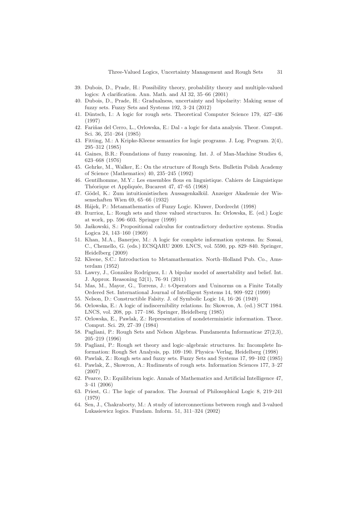- 39. Dubois, D., Prade, H.: Possibility theory, probability theory and multiple-valued logics: A clarification. Ann. Math. and AI 32, 35–66 (2001)
- 40. Dubois, D., Prade, H.: Gradualness, uncertainty and bipolarity: Making sense of fuzzy sets. Fuzzy Sets and Systems 192, 3–24 (2012)
- 41. Düntsch, I.: A logic for rough sets. Theoretical Computer Science 179, 427–436 (1997)
- 42. Fariñas del Cerro, L., Orlowska, E.: Dal a logic for data analysis. Theor. Comput. Sci. 36, 251–264 (1985)
- 43. Fitting, M.: A Kripke-Kleene semantics for logic programs. J. Log. Program. 2(4), 295–312 (1985)
- 44. Gaines, B.R.: Foundations of fuzzy reasoning. Int. J. of Man-Machine Studies 6, 623–668 (1976)
- 45. Gehrke, M., Walker, E.: On the structure of Rough Sets. Bulletin Polish Academy of Science (Mathematics) 40, 235–245 (1992)
- 46. Gentilhomme, M.Y.: Les ensembles flous en linguistique. Cahiers de Linguistique Théorique et Appliquée, Bucarest 47, 47–65 (1968)
- 47. Gödel, K.: Zum intuitionistischen Aussagenkalkül. Anzeiger Akademie der Wissenschaften Wien 69, 65–66 (1932)
- 48. Hájek, P.: Metamathematics of Fuzzy Logic. Kluwer, Dordrecht (1998)
- 49. Iturrioz, L.: Rough sets and three valued structures. In: Orlowska, E. (ed.) Logic at work, pp. 596–603. Springer (1999)
- 50. Ja´skowski, S.: Propositional calculus for contradictory deductive systems. Studia Logica 24, 143–160 (1969)
- 51. Khan, M.A., Banerjee, M.: A logic for complete information systems. In: Sossai, C., Chemello, G. (eds.) ECSQARU 2009. LNCS, vol. 5590, pp. 829–840. Springer, Heidelberg (2009)
- 52. Kleene, S.C.: Introduction to Metamathematics. North–Holland Pub. Co., Amsterdam (1952)
- 53. Lawry, J., González Rodríguez, I.: A bipolar model of assertability and belief. Int. J. Approx. Reasoning 52(1), 76–91 (2011)
- 54. Mas, M., Mayor, G., Torrens, J.: t-Operators and Uninorms on a Finite Totally Ordered Set. International Journal of Intelligent Systems 14, 909–922 (1999)
- 55. Nelson, D.: Constructible Falsity. J. of Symbolic Logic 14, 16–26 (1949)
- 56. Orlowska, E.: A logic of indiscernibility relations. In: Skowron, A. (ed.) SCT 1984. LNCS, vol. 208, pp. 177–186. Springer, Heidelberg (1985)
- 57. Orlowska, E., Pawlak, Z.: Representation of nondeterministic information. Theor. Comput. Sci. 29, 27–39 (1984)
- 58. Pagliani, P.: Rough Sets and Nelson Algebras. Fundamenta Informaticae 27(2,3), 205–219 (1996)
- 59. Pagliani, P.: Rough set theory and logic–algebraic structures. In: Incomplete Information: Rough Set Analysis, pp. 109–190. Physica–Verlag, Heidelberg (1998)
- 60. Pawlak, Z.: Rough sets and fuzzy sets. Fuzzy Sets and Systems 17, 99–102 (1985)
- 61. Pawlak, Z., Skowron, A.: Rudiments of rough sets. Information Sciences 177, 3–27 (2007)
- 62. Pearce, D.: Equilibrium logic. Annals of Mathematics and Artificial Intelligence 47, 3–41 (2006)
- 63. Priest, G.: The logic of paradox. The Journal of Philosophical Logic 8, 219–241 (1979)
- 64. Sen, J., Chakraborty, M.: A study of interconnections between rough and 3-valued Lukasiewicz logics. Fundam. Inform. 51, 311–324 (2002)